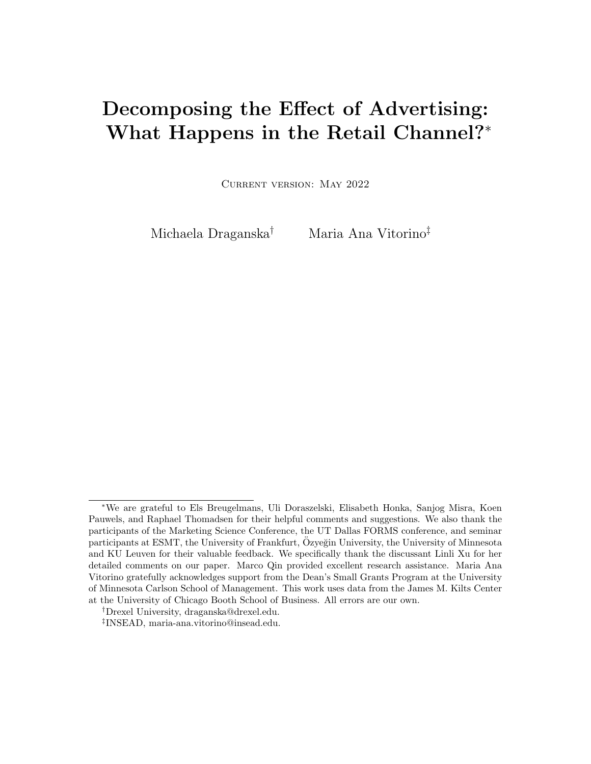# Decomposing the Effect of Advertising: What Happens in the Retail Channel?<sup>∗</sup>

Current version: May 2022

Michaela Draganska† Maria Ana Vitorino‡

<sup>∗</sup>We are grateful to Els Breugelmans, Uli Doraszelski, Elisabeth Honka, Sanjog Misra, Koen Pauwels, and Raphael Thomadsen for their helpful comments and suggestions. We also thank the participants of the Marketing Science Conference, the UT Dallas FORMS conference, and seminar participants at ESMT, the University of Frankfurt, Ozyeğin University, the University of Minnesota and KU Leuven for their valuable feedback. We specifically thank the discussant Linli Xu for her detailed comments on our paper. Marco Qin provided excellent research assistance. Maria Ana Vitorino gratefully acknowledges support from the Dean's Small Grants Program at the University of Minnesota Carlson School of Management. This work uses data from the James M. Kilts Center at the University of Chicago Booth School of Business. All errors are our own.

<sup>†</sup>Drexel University, draganska@drexel.edu.

<sup>‡</sup> INSEAD, maria-ana.vitorino@insead.edu.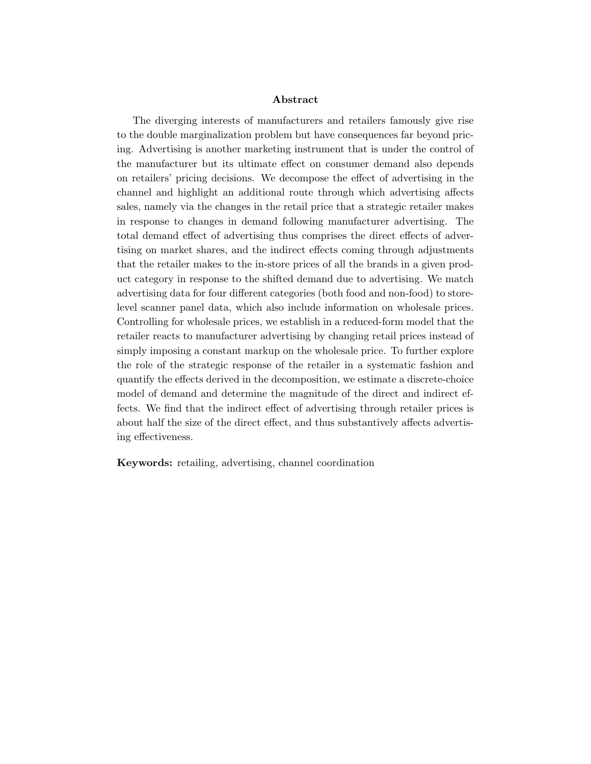#### Abstract

The diverging interests of manufacturers and retailers famously give rise to the double marginalization problem but have consequences far beyond pricing. Advertising is another marketing instrument that is under the control of the manufacturer but its ultimate effect on consumer demand also depends on retailers' pricing decisions. We decompose the effect of advertising in the channel and highlight an additional route through which advertising affects sales, namely via the changes in the retail price that a strategic retailer makes in response to changes in demand following manufacturer advertising. The total demand effect of advertising thus comprises the direct effects of advertising on market shares, and the indirect effects coming through adjustments that the retailer makes to the in-store prices of all the brands in a given product category in response to the shifted demand due to advertising. We match advertising data for four different categories (both food and non-food) to storelevel scanner panel data, which also include information on wholesale prices. Controlling for wholesale prices, we establish in a reduced-form model that the retailer reacts to manufacturer advertising by changing retail prices instead of simply imposing a constant markup on the wholesale price. To further explore the role of the strategic response of the retailer in a systematic fashion and quantify the effects derived in the decomposition, we estimate a discrete-choice model of demand and determine the magnitude of the direct and indirect effects. We find that the indirect effect of advertising through retailer prices is about half the size of the direct effect, and thus substantively affects advertising effectiveness.

Keywords: retailing, advertising, channel coordination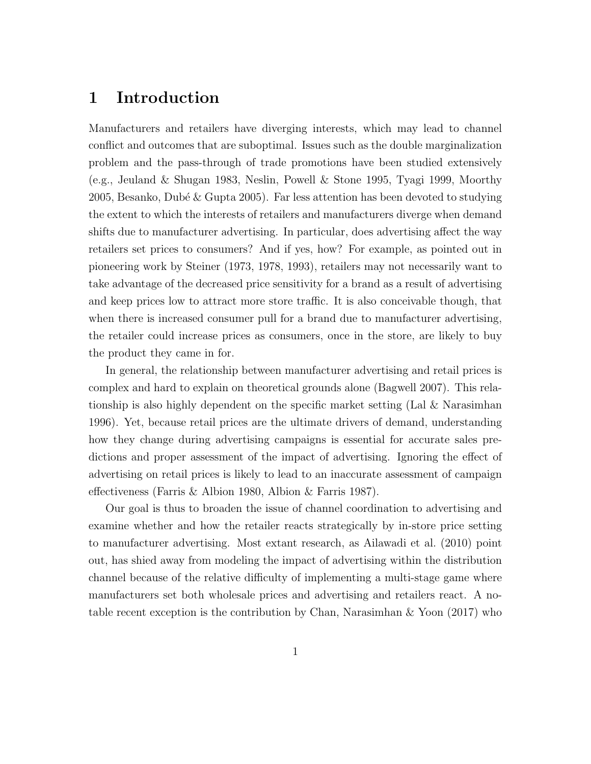### 1 Introduction

Manufacturers and retailers have diverging interests, which may lead to channel conflict and outcomes that are suboptimal. Issues such as the double marginalization problem and the pass-through of trade promotions have been studied extensively (e.g., Jeuland & Shugan 1983, Neslin, Powell & Stone 1995, Tyagi 1999, Moorthy 2005, Besanko, Dubé & Gupta 2005). Far less attention has been devoted to studying the extent to which the interests of retailers and manufacturers diverge when demand shifts due to manufacturer advertising. In particular, does advertising affect the way retailers set prices to consumers? And if yes, how? For example, as pointed out in pioneering work by Steiner (1973, 1978, 1993), retailers may not necessarily want to take advantage of the decreased price sensitivity for a brand as a result of advertising and keep prices low to attract more store traffic. It is also conceivable though, that when there is increased consumer pull for a brand due to manufacturer advertising, the retailer could increase prices as consumers, once in the store, are likely to buy the product they came in for.

In general, the relationship between manufacturer advertising and retail prices is complex and hard to explain on theoretical grounds alone (Bagwell 2007). This relationship is also highly dependent on the specific market setting (Lal & Narasimhan 1996). Yet, because retail prices are the ultimate drivers of demand, understanding how they change during advertising campaigns is essential for accurate sales predictions and proper assessment of the impact of advertising. Ignoring the effect of advertising on retail prices is likely to lead to an inaccurate assessment of campaign effectiveness (Farris & Albion 1980, Albion & Farris 1987).

Our goal is thus to broaden the issue of channel coordination to advertising and examine whether and how the retailer reacts strategically by in-store price setting to manufacturer advertising. Most extant research, as Ailawadi et al. (2010) point out, has shied away from modeling the impact of advertising within the distribution channel because of the relative difficulty of implementing a multi-stage game where manufacturers set both wholesale prices and advertising and retailers react. A notable recent exception is the contribution by Chan, Narasimhan & Yoon (2017) who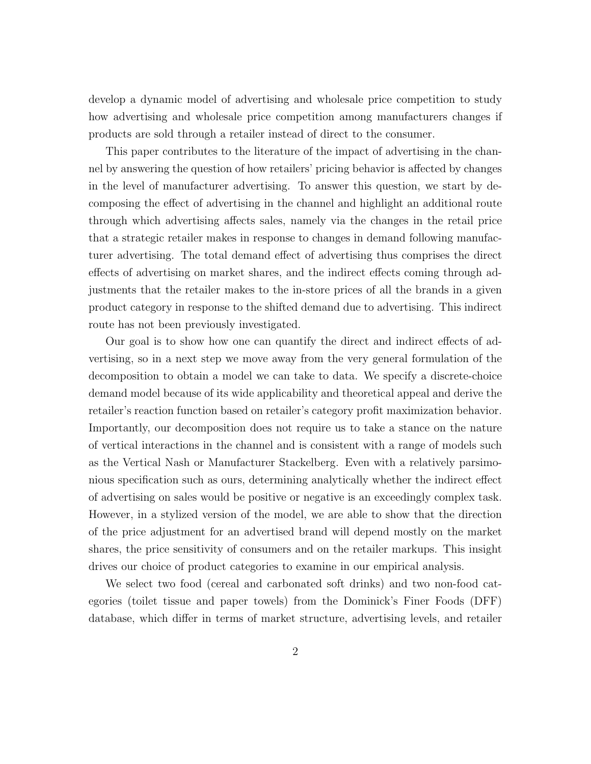develop a dynamic model of advertising and wholesale price competition to study how advertising and wholesale price competition among manufacturers changes if products are sold through a retailer instead of direct to the consumer.

This paper contributes to the literature of the impact of advertising in the channel by answering the question of how retailers' pricing behavior is affected by changes in the level of manufacturer advertising. To answer this question, we start by decomposing the effect of advertising in the channel and highlight an additional route through which advertising affects sales, namely via the changes in the retail price that a strategic retailer makes in response to changes in demand following manufacturer advertising. The total demand effect of advertising thus comprises the direct effects of advertising on market shares, and the indirect effects coming through adjustments that the retailer makes to the in-store prices of all the brands in a given product category in response to the shifted demand due to advertising. This indirect route has not been previously investigated.

Our goal is to show how one can quantify the direct and indirect effects of advertising, so in a next step we move away from the very general formulation of the decomposition to obtain a model we can take to data. We specify a discrete-choice demand model because of its wide applicability and theoretical appeal and derive the retailer's reaction function based on retailer's category profit maximization behavior. Importantly, our decomposition does not require us to take a stance on the nature of vertical interactions in the channel and is consistent with a range of models such as the Vertical Nash or Manufacturer Stackelberg. Even with a relatively parsimonious specification such as ours, determining analytically whether the indirect effect of advertising on sales would be positive or negative is an exceedingly complex task. However, in a stylized version of the model, we are able to show that the direction of the price adjustment for an advertised brand will depend mostly on the market shares, the price sensitivity of consumers and on the retailer markups. This insight drives our choice of product categories to examine in our empirical analysis.

We select two food (cereal and carbonated soft drinks) and two non-food categories (toilet tissue and paper towels) from the Dominick's Finer Foods (DFF) database, which differ in terms of market structure, advertising levels, and retailer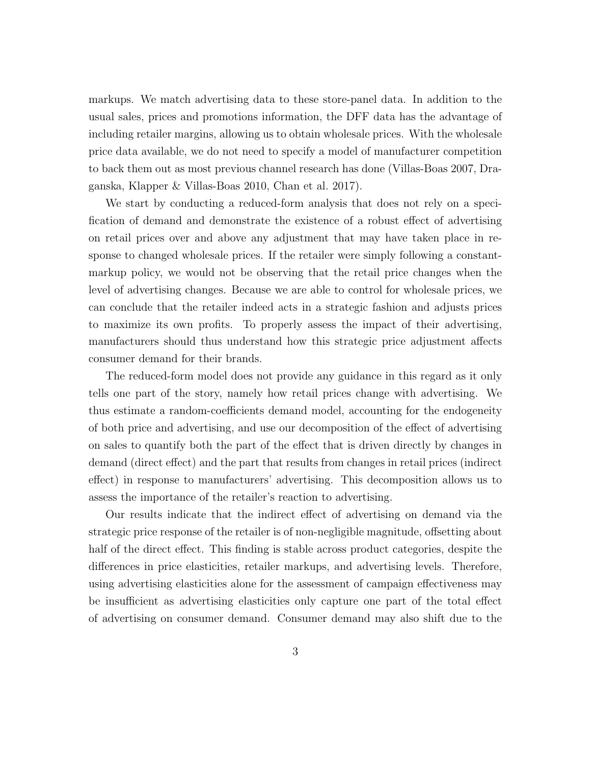markups. We match advertising data to these store-panel data. In addition to the usual sales, prices and promotions information, the DFF data has the advantage of including retailer margins, allowing us to obtain wholesale prices. With the wholesale price data available, we do not need to specify a model of manufacturer competition to back them out as most previous channel research has done (Villas-Boas 2007, Draganska, Klapper & Villas-Boas 2010, Chan et al. 2017).

We start by conducting a reduced-form analysis that does not rely on a specification of demand and demonstrate the existence of a robust effect of advertising on retail prices over and above any adjustment that may have taken place in response to changed wholesale prices. If the retailer were simply following a constantmarkup policy, we would not be observing that the retail price changes when the level of advertising changes. Because we are able to control for wholesale prices, we can conclude that the retailer indeed acts in a strategic fashion and adjusts prices to maximize its own profits. To properly assess the impact of their advertising, manufacturers should thus understand how this strategic price adjustment affects consumer demand for their brands.

The reduced-form model does not provide any guidance in this regard as it only tells one part of the story, namely how retail prices change with advertising. We thus estimate a random-coefficients demand model, accounting for the endogeneity of both price and advertising, and use our decomposition of the effect of advertising on sales to quantify both the part of the effect that is driven directly by changes in demand (direct effect) and the part that results from changes in retail prices (indirect effect) in response to manufacturers' advertising. This decomposition allows us to assess the importance of the retailer's reaction to advertising.

Our results indicate that the indirect effect of advertising on demand via the strategic price response of the retailer is of non-negligible magnitude, offsetting about half of the direct effect. This finding is stable across product categories, despite the differences in price elasticities, retailer markups, and advertising levels. Therefore, using advertising elasticities alone for the assessment of campaign effectiveness may be insufficient as advertising elasticities only capture one part of the total effect of advertising on consumer demand. Consumer demand may also shift due to the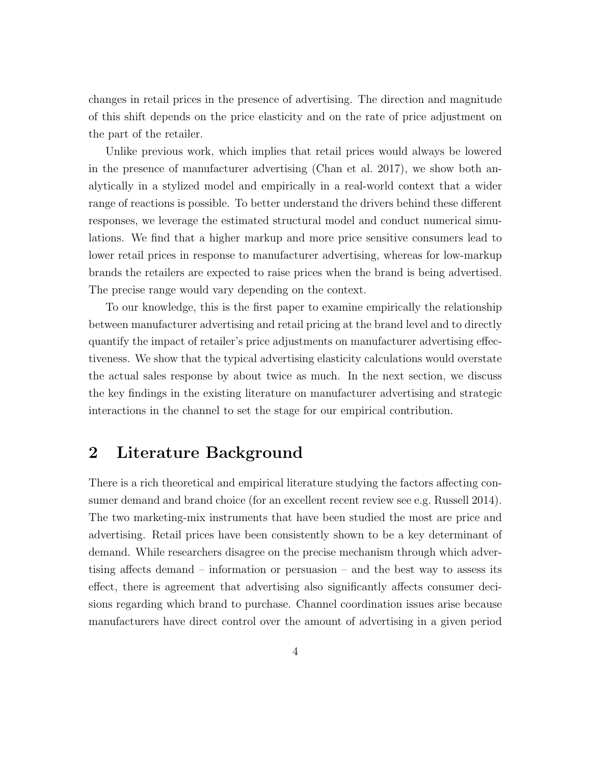changes in retail prices in the presence of advertising. The direction and magnitude of this shift depends on the price elasticity and on the rate of price adjustment on the part of the retailer.

Unlike previous work, which implies that retail prices would always be lowered in the presence of manufacturer advertising (Chan et al. 2017), we show both analytically in a stylized model and empirically in a real-world context that a wider range of reactions is possible. To better understand the drivers behind these different responses, we leverage the estimated structural model and conduct numerical simulations. We find that a higher markup and more price sensitive consumers lead to lower retail prices in response to manufacturer advertising, whereas for low-markup brands the retailers are expected to raise prices when the brand is being advertised. The precise range would vary depending on the context.

To our knowledge, this is the first paper to examine empirically the relationship between manufacturer advertising and retail pricing at the brand level and to directly quantify the impact of retailer's price adjustments on manufacturer advertising effectiveness. We show that the typical advertising elasticity calculations would overstate the actual sales response by about twice as much. In the next section, we discuss the key findings in the existing literature on manufacturer advertising and strategic interactions in the channel to set the stage for our empirical contribution.

### 2 Literature Background

There is a rich theoretical and empirical literature studying the factors affecting consumer demand and brand choice (for an excellent recent review see e.g. Russell 2014). The two marketing-mix instruments that have been studied the most are price and advertising. Retail prices have been consistently shown to be a key determinant of demand. While researchers disagree on the precise mechanism through which advertising affects demand – information or persuasion – and the best way to assess its effect, there is agreement that advertising also significantly affects consumer decisions regarding which brand to purchase. Channel coordination issues arise because manufacturers have direct control over the amount of advertising in a given period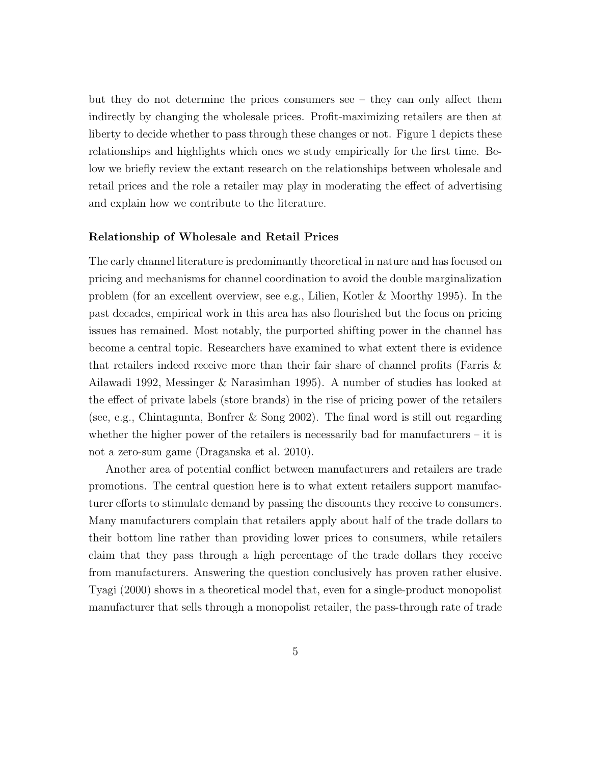but they do not determine the prices consumers see – they can only affect them indirectly by changing the wholesale prices. Profit-maximizing retailers are then at liberty to decide whether to pass through these changes or not. Figure 1 depicts these relationships and highlights which ones we study empirically for the first time. Below we briefly review the extant research on the relationships between wholesale and retail prices and the role a retailer may play in moderating the effect of advertising and explain how we contribute to the literature.

#### Relationship of Wholesale and Retail Prices

The early channel literature is predominantly theoretical in nature and has focused on pricing and mechanisms for channel coordination to avoid the double marginalization problem (for an excellent overview, see e.g., Lilien, Kotler & Moorthy 1995). In the past decades, empirical work in this area has also flourished but the focus on pricing issues has remained. Most notably, the purported shifting power in the channel has become a central topic. Researchers have examined to what extent there is evidence that retailers indeed receive more than their fair share of channel profits (Farris & Ailawadi 1992, Messinger & Narasimhan 1995). A number of studies has looked at the effect of private labels (store brands) in the rise of pricing power of the retailers (see, e.g., Chintagunta, Bonfrer & Song 2002). The final word is still out regarding whether the higher power of the retailers is necessarily bad for manufacturers – it is not a zero-sum game (Draganska et al. 2010).

Another area of potential conflict between manufacturers and retailers are trade promotions. The central question here is to what extent retailers support manufacturer efforts to stimulate demand by passing the discounts they receive to consumers. Many manufacturers complain that retailers apply about half of the trade dollars to their bottom line rather than providing lower prices to consumers, while retailers claim that they pass through a high percentage of the trade dollars they receive from manufacturers. Answering the question conclusively has proven rather elusive. Tyagi (2000) shows in a theoretical model that, even for a single-product monopolist manufacturer that sells through a monopolist retailer, the pass-through rate of trade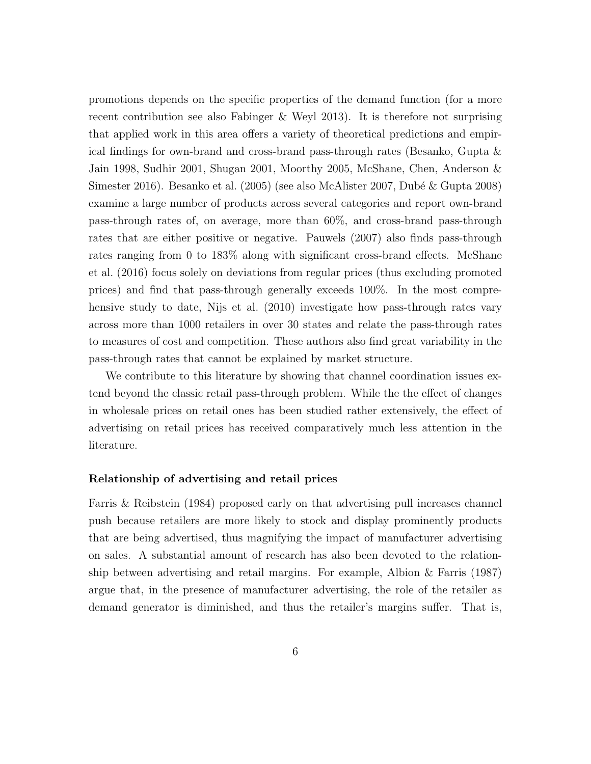promotions depends on the specific properties of the demand function (for a more recent contribution see also Fabinger & Weyl 2013). It is therefore not surprising that applied work in this area offers a variety of theoretical predictions and empirical findings for own-brand and cross-brand pass-through rates (Besanko, Gupta & Jain 1998, Sudhir 2001, Shugan 2001, Moorthy 2005, McShane, Chen, Anderson & Simester 2016). Besanko et al. (2005) (see also McAlister 2007, Dubé & Gupta 2008) examine a large number of products across several categories and report own-brand pass-through rates of, on average, more than 60%, and cross-brand pass-through rates that are either positive or negative. Pauwels (2007) also finds pass-through rates ranging from 0 to 183% along with significant cross-brand effects. McShane et al. (2016) focus solely on deviations from regular prices (thus excluding promoted prices) and find that pass-through generally exceeds 100%. In the most comprehensive study to date, Nijs et al. (2010) investigate how pass-through rates vary across more than 1000 retailers in over 30 states and relate the pass-through rates to measures of cost and competition. These authors also find great variability in the pass-through rates that cannot be explained by market structure.

We contribute to this literature by showing that channel coordination issues extend beyond the classic retail pass-through problem. While the the effect of changes in wholesale prices on retail ones has been studied rather extensively, the effect of advertising on retail prices has received comparatively much less attention in the literature.

#### Relationship of advertising and retail prices

Farris & Reibstein (1984) proposed early on that advertising pull increases channel push because retailers are more likely to stock and display prominently products that are being advertised, thus magnifying the impact of manufacturer advertising on sales. A substantial amount of research has also been devoted to the relationship between advertising and retail margins. For example, Albion & Farris (1987) argue that, in the presence of manufacturer advertising, the role of the retailer as demand generator is diminished, and thus the retailer's margins suffer. That is,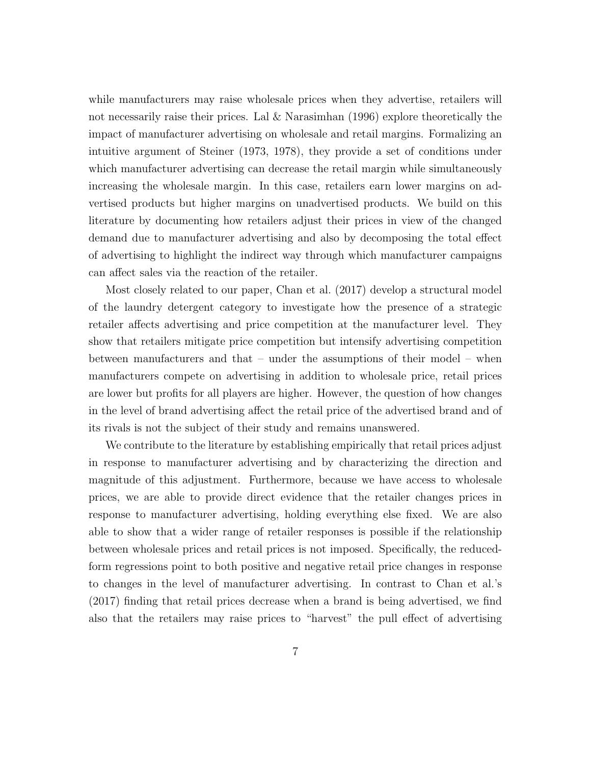while manufacturers may raise wholesale prices when they advertise, retailers will not necessarily raise their prices. Lal & Narasimhan (1996) explore theoretically the impact of manufacturer advertising on wholesale and retail margins. Formalizing an intuitive argument of Steiner (1973, 1978), they provide a set of conditions under which manufacturer advertising can decrease the retail margin while simultaneously increasing the wholesale margin. In this case, retailers earn lower margins on advertised products but higher margins on unadvertised products. We build on this literature by documenting how retailers adjust their prices in view of the changed demand due to manufacturer advertising and also by decomposing the total effect of advertising to highlight the indirect way through which manufacturer campaigns can affect sales via the reaction of the retailer.

Most closely related to our paper, Chan et al. (2017) develop a structural model of the laundry detergent category to investigate how the presence of a strategic retailer affects advertising and price competition at the manufacturer level. They show that retailers mitigate price competition but intensify advertising competition between manufacturers and that – under the assumptions of their model – when manufacturers compete on advertising in addition to wholesale price, retail prices are lower but profits for all players are higher. However, the question of how changes in the level of brand advertising affect the retail price of the advertised brand and of its rivals is not the subject of their study and remains unanswered.

We contribute to the literature by establishing empirically that retail prices adjust in response to manufacturer advertising and by characterizing the direction and magnitude of this adjustment. Furthermore, because we have access to wholesale prices, we are able to provide direct evidence that the retailer changes prices in response to manufacturer advertising, holding everything else fixed. We are also able to show that a wider range of retailer responses is possible if the relationship between wholesale prices and retail prices is not imposed. Specifically, the reducedform regressions point to both positive and negative retail price changes in response to changes in the level of manufacturer advertising. In contrast to Chan et al.'s (2017) finding that retail prices decrease when a brand is being advertised, we find also that the retailers may raise prices to "harvest" the pull effect of advertising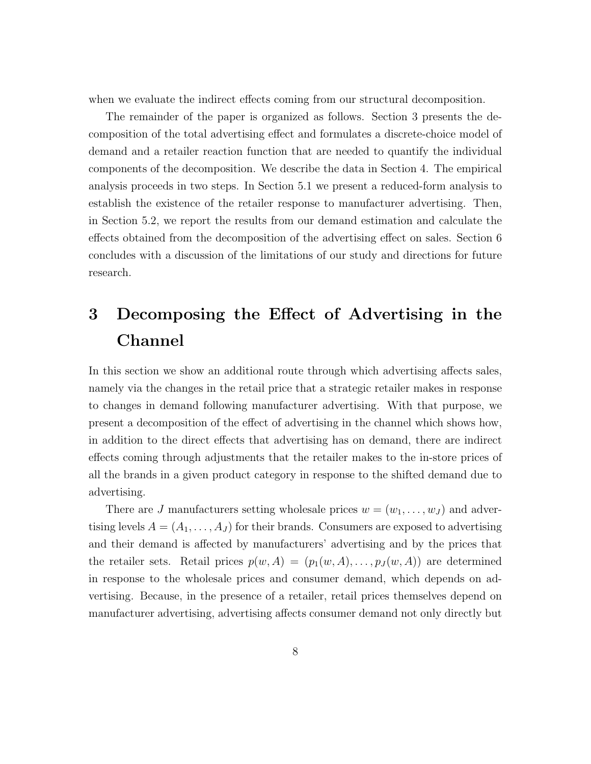when we evaluate the indirect effects coming from our structural decomposition.

The remainder of the paper is organized as follows. Section 3 presents the decomposition of the total advertising effect and formulates a discrete-choice model of demand and a retailer reaction function that are needed to quantify the individual components of the decomposition. We describe the data in Section 4. The empirical analysis proceeds in two steps. In Section 5.1 we present a reduced-form analysis to establish the existence of the retailer response to manufacturer advertising. Then, in Section 5.2, we report the results from our demand estimation and calculate the effects obtained from the decomposition of the advertising effect on sales. Section 6 concludes with a discussion of the limitations of our study and directions for future research.

# 3 Decomposing the Effect of Advertising in the Channel

In this section we show an additional route through which advertising affects sales, namely via the changes in the retail price that a strategic retailer makes in response to changes in demand following manufacturer advertising. With that purpose, we present a decomposition of the effect of advertising in the channel which shows how, in addition to the direct effects that advertising has on demand, there are indirect effects coming through adjustments that the retailer makes to the in-store prices of all the brands in a given product category in response to the shifted demand due to advertising.

There are J manufacturers setting wholesale prices  $w = (w_1, \ldots, w_J)$  and advertising levels  $A = (A_1, \ldots, A_J)$  for their brands. Consumers are exposed to advertising and their demand is affected by manufacturers' advertising and by the prices that the retailer sets. Retail prices  $p(w, A) = (p_1(w, A), \ldots, p_J(w, A))$  are determined in response to the wholesale prices and consumer demand, which depends on advertising. Because, in the presence of a retailer, retail prices themselves depend on manufacturer advertising, advertising affects consumer demand not only directly but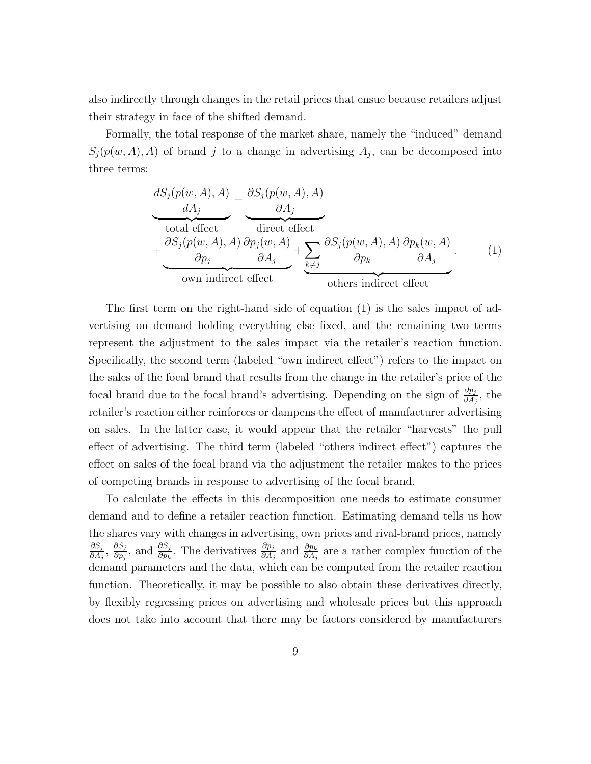also indirectly through changes in the retail prices that ensue because retailers adjust their strategy in face of the shifted demand.

Formally, the total response of the market share, namely the "induced" demand  $S_j(p(w, A), A)$  of brand j to a change in advertising  $A_j$ , can be decomposed into three terms:

$$
\frac{dS_j(p(w, A), A)}{dA_j} = \underbrace{\frac{\partial S_j(p(w, A), A)}{\partial A_j}}_{\text{total effect}} + \underbrace{\frac{\partial S_j(p(w, A), A)}{\partial p_j}(w, A)}_{\text{own indirect effect}} + \underbrace{\sum_{k \neq j} \frac{\partial S_j(p(w, A), A)}{\partial p_k}(w, A)}_{\text{others indirect effect}}.
$$
\n(1)

The first term on the right-hand side of equation (1) is the sales impact of advertising on demand holding everything else fixed, and the remaining two terms represent the adjustment to the sales impact via the retailer's reaction function. Specifically, the second term (labeled "own indirect effect") refers to the impact on the sales of the focal brand that results from the change in the retailer's price of the focal brand due to the focal brand's advertising. Depending on the sign of  $\frac{\partial p_j}{\partial A_j}$ , the retailer's reaction either reinforces or dampens the effect of manufacturer advertising on sales. In the latter case, it would appear that the retailer "harvests" the pull effect of advertising. The third term (labeled "others indirect effect") captures the effect on sales of the focal brand via the adjustment the retailer makes to the prices of competing brands in response to advertising of the focal brand.

To calculate the effects in this decomposition one needs to estimate consumer demand and to define a retailer reaction function. Estimating demand tells us how the shares vary with changes in advertising, own prices and rival-brand prices, namely  $\partial S_j$  $\frac{\partial S_j}{\partial A_j},\; \frac{\partial S_j}{\partial p_j}$  $\frac{\partial S_j}{\partial p_j}$ , and  $\frac{\partial S_j}{\partial p_k}$ . The derivatives  $\frac{\partial p_j}{\partial A_j}$  and  $\frac{\partial p_k}{\partial A_j}$  are a rather complex function of the demand parameters and the data, which can be computed from the retailer reaction function. Theoretically, it may be possible to also obtain these derivatives directly, by flexibly regressing prices on advertising and wholesale prices but this approach does not take into account that there may be factors considered by manufacturers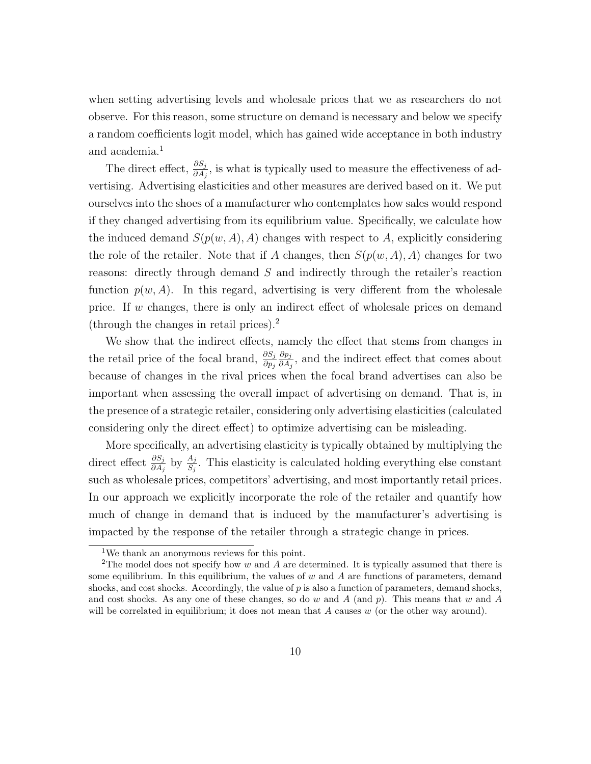when setting advertising levels and wholesale prices that we as researchers do not observe. For this reason, some structure on demand is necessary and below we specify a random coefficients logit model, which has gained wide acceptance in both industry and academia.<sup>1</sup>

The direct effect,  $\frac{\partial S_j}{\partial A_j}$ , is what is typically used to measure the effectiveness of advertising. Advertising elasticities and other measures are derived based on it. We put ourselves into the shoes of a manufacturer who contemplates how sales would respond if they changed advertising from its equilibrium value. Specifically, we calculate how the induced demand  $S(p(w, A), A)$  changes with respect to A, explicitly considering the role of the retailer. Note that if A changes, then  $S(p(w, A), A)$  changes for two reasons: directly through demand S and indirectly through the retailer's reaction function  $p(w, A)$ . In this regard, advertising is very different from the wholesale price. If w changes, there is only an indirect effect of wholesale prices on demand (through the changes in retail prices).<sup>2</sup>

We show that the indirect effects, namely the effect that stems from changes in the retail price of the focal brand,  $\frac{\partial S_j}{\partial p_j}$  $\partial p_j$  $\frac{\partial p_j}{\partial A_j}$ , and the indirect effect that comes about because of changes in the rival prices when the focal brand advertises can also be important when assessing the overall impact of advertising on demand. That is, in the presence of a strategic retailer, considering only advertising elasticities (calculated considering only the direct effect) to optimize advertising can be misleading.

More specifically, an advertising elasticity is typically obtained by multiplying the direct effect  $\frac{\partial S_j}{\partial A_j}$  by  $\frac{A_j}{S_j}$ . This elasticity is calculated holding everything else constant such as wholesale prices, competitors' advertising, and most importantly retail prices. In our approach we explicitly incorporate the role of the retailer and quantify how much of change in demand that is induced by the manufacturer's advertising is impacted by the response of the retailer through a strategic change in prices.

<sup>1</sup>We thank an anonymous reviews for this point.

<sup>&</sup>lt;sup>2</sup>The model does not specify how w and A are determined. It is typically assumed that there is some equilibrium. In this equilibrium, the values of  $w$  and  $A$  are functions of parameters, demand shocks, and cost shocks. Accordingly, the value of  $p$  is also a function of parameters, demand shocks, and cost shocks. As any one of these changes, so do  $w$  and  $A$  (and  $p$ ). This means that  $w$  and  $A$ will be correlated in equilibrium; it does not mean that  $A$  causes  $w$  (or the other way around).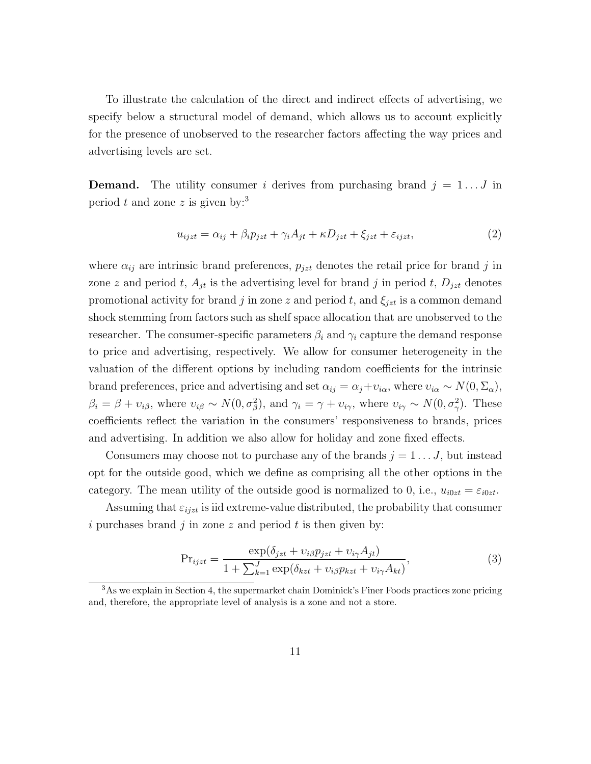To illustrate the calculation of the direct and indirect effects of advertising, we specify below a structural model of demand, which allows us to account explicitly for the presence of unobserved to the researcher factors affecting the way prices and advertising levels are set.

**Demand.** The utility consumer i derives from purchasing brand  $j = 1...J$  in period t and zone z is given by:<sup>3</sup>

$$
u_{ijzt} = \alpha_{ij} + \beta_i p_{jzt} + \gamma_i A_{jt} + \kappa D_{jzt} + \xi_{jzt} + \varepsilon_{ijzt},\tag{2}
$$

where  $\alpha_{ij}$  are intrinsic brand preferences,  $p_{jzt}$  denotes the retail price for brand j in zone z and period t,  $A_{jt}$  is the advertising level for brand j in period t,  $D_{jzt}$  denotes promotional activity for brand j in zone z and period t, and  $\xi_{jzt}$  is a common demand shock stemming from factors such as shelf space allocation that are unobserved to the researcher. The consumer-specific parameters  $\beta_i$  and  $\gamma_i$  capture the demand response to price and advertising, respectively. We allow for consumer heterogeneity in the valuation of the different options by including random coefficients for the intrinsic brand preferences, price and advertising and set  $\alpha_{ij} = \alpha_j + v_{i\alpha}$ , where  $v_{i\alpha} \sim N(0, \Sigma_\alpha)$ ,  $\beta_i = \beta + \nu_{i\beta}$ , where  $\nu_{i\beta} \sim N(0, \sigma_{\beta}^2)$ , and  $\gamma_i = \gamma + \nu_{i\gamma}$ , where  $\nu_{i\gamma} \sim N(0, \sigma_{\gamma}^2)$ . These coefficients reflect the variation in the consumers' responsiveness to brands, prices and advertising. In addition we also allow for holiday and zone fixed effects.

Consumers may choose not to purchase any of the brands  $j = 1 \dots J$ , but instead opt for the outside good, which we define as comprising all the other options in the category. The mean utility of the outside good is normalized to 0, i.e.,  $u_{i0zt} = \varepsilon_{i0zt}$ .

Assuming that  $\varepsilon_{ijzt}$  is iid extreme-value distributed, the probability that consumer i purchases brand  $j$  in zone  $z$  and period  $t$  is then given by:

$$
Pr_{ijzt} = \frac{\exp(\delta_{jzt} + v_{i\beta}p_{jzt} + v_{i\gamma}A_{jt})}{1 + \sum_{k=1}^{J} \exp(\delta_{kzt} + v_{i\beta}p_{kzt} + v_{i\gamma}A_{kt})},
$$
\n(3)

 $3$ As we explain in Section 4, the supermarket chain Dominick's Finer Foods practices zone pricing and, therefore, the appropriate level of analysis is a zone and not a store.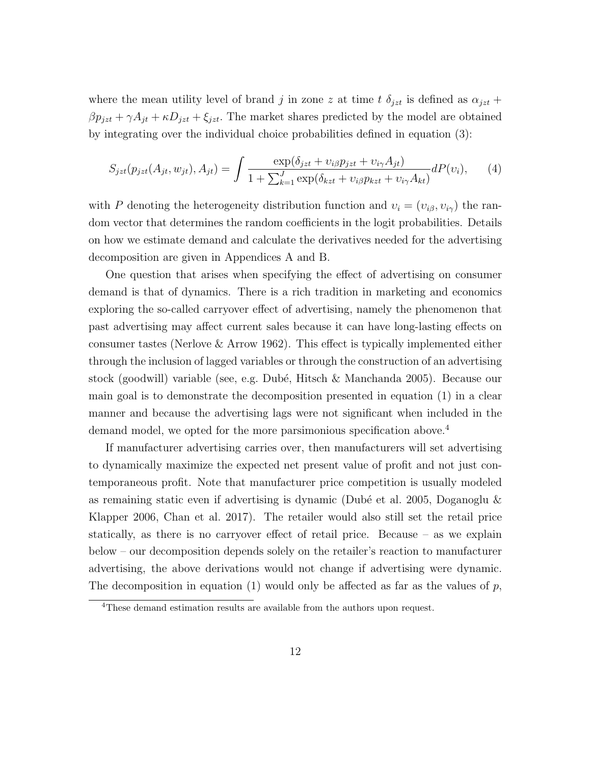where the mean utility level of brand j in zone z at time t  $\delta_{jzt}$  is defined as  $\alpha_{jzt}$  +  $\beta p_{jzt} + \gamma A_{jt} + \kappa D_{jzt} + \xi_{jzt}$ . The market shares predicted by the model are obtained by integrating over the individual choice probabilities defined in equation (3):

$$
S_{jzt}(p_{jzt}(A_{jt}, w_{jt}), A_{jt}) = \int \frac{\exp(\delta_{jzt} + v_{i\beta}p_{jzt} + v_{i\gamma}A_{jt})}{1 + \sum_{k=1}^{J} \exp(\delta_{kzt} + v_{i\beta}p_{kzt} + v_{i\gamma}A_{kt})} dP(v_i), \qquad (4)
$$

with P denoting the heterogeneity distribution function and  $v_i = (v_{i\beta}, v_{i\gamma})$  the random vector that determines the random coefficients in the logit probabilities. Details on how we estimate demand and calculate the derivatives needed for the advertising decomposition are given in Appendices A and B.

One question that arises when specifying the effect of advertising on consumer demand is that of dynamics. There is a rich tradition in marketing and economics exploring the so-called carryover effect of advertising, namely the phenomenon that past advertising may affect current sales because it can have long-lasting effects on consumer tastes (Nerlove & Arrow 1962). This effect is typically implemented either through the inclusion of lagged variables or through the construction of an advertising stock (goodwill) variable (see, e.g. Dub´e, Hitsch & Manchanda 2005). Because our main goal is to demonstrate the decomposition presented in equation (1) in a clear manner and because the advertising lags were not significant when included in the demand model, we opted for the more parsimonious specification above.<sup>4</sup>

If manufacturer advertising carries over, then manufacturers will set advertising to dynamically maximize the expected net present value of profit and not just contemporaneous profit. Note that manufacturer price competition is usually modeled as remaining static even if advertising is dynamic (Dubé et al. 2005, Doganoglu  $\&$ Klapper 2006, Chan et al. 2017). The retailer would also still set the retail price statically, as there is no carryover effect of retail price. Because – as we explain below – our decomposition depends solely on the retailer's reaction to manufacturer advertising, the above derivations would not change if advertising were dynamic. The decomposition in equation  $(1)$  would only be affected as far as the values of  $p$ ,

<sup>&</sup>lt;sup>4</sup>These demand estimation results are available from the authors upon request.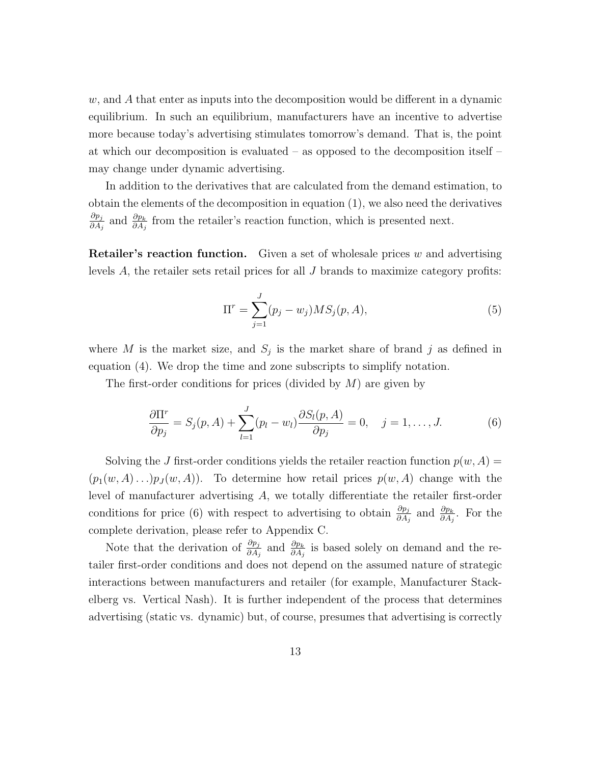$w$ , and  $A$  that enter as inputs into the decomposition would be different in a dynamic equilibrium. In such an equilibrium, manufacturers have an incentive to advertise more because today's advertising stimulates tomorrow's demand. That is, the point at which our decomposition is evaluated – as opposed to the decomposition itself – may change under dynamic advertising.

In addition to the derivatives that are calculated from the demand estimation, to obtain the elements of the decomposition in equation (1), we also need the derivatives  $\partial p_j$  $\frac{\partial p_j}{\partial A_j}$  and  $\frac{\partial p_k}{\partial A_j}$  from the retailer's reaction function, which is presented next.

**Retailer's reaction function.** Given a set of wholesale prices  $w$  and advertising levels  $A$ , the retailer sets retail prices for all  $J$  brands to maximize category profits:

$$
\Pi^r = \sum_{j=1}^{J} (p_j - w_j) MS_j(p, A), \tag{5}
$$

where M is the market size, and  $S_j$  is the market share of brand j as defined in equation (4). We drop the time and zone subscripts to simplify notation.

The first-order conditions for prices (divided by  $M$ ) are given by

$$
\frac{\partial \Pi^r}{\partial p_j} = S_j(p, A) + \sum_{l=1}^J (p_l - w_l) \frac{\partial S_l(p, A)}{\partial p_j} = 0, \quad j = 1, \dots, J. \tag{6}
$$

Solving the J first-order conditions yields the retailer reaction function  $p(w, A)$  $(p_1(w, A) \dots)p_J(w, A)$ . To determine how retail prices  $p(w, A)$  change with the level of manufacturer advertising A, we totally differentiate the retailer first-order conditions for price (6) with respect to advertising to obtain  $\frac{\partial p_j}{\partial A_j}$  and  $\frac{\partial p_k}{\partial A_j}$ . For the complete derivation, please refer to Appendix C.

Note that the derivation of  $\frac{\partial p_j}{\partial A_j}$  and  $\frac{\partial p_k}{\partial A_j}$  is based solely on demand and the retailer first-order conditions and does not depend on the assumed nature of strategic interactions between manufacturers and retailer (for example, Manufacturer Stackelberg vs. Vertical Nash). It is further independent of the process that determines advertising (static vs. dynamic) but, of course, presumes that advertising is correctly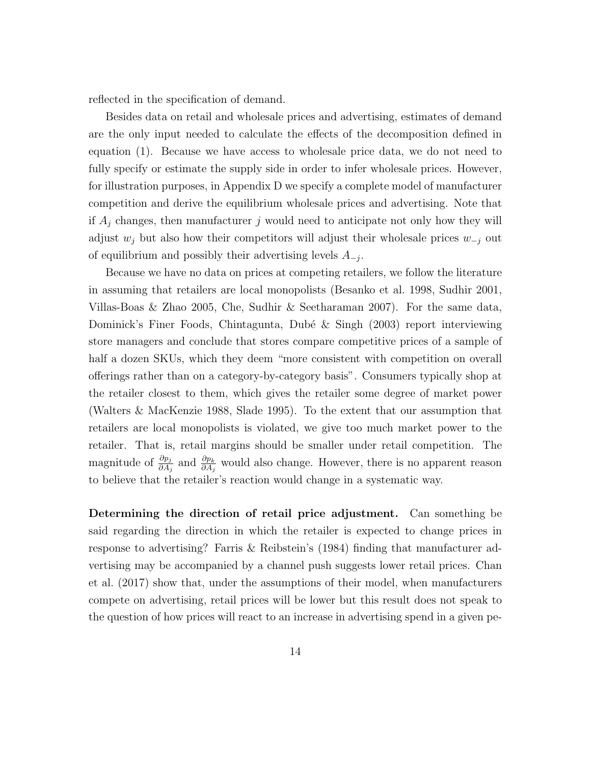reflected in the specification of demand.

Besides data on retail and wholesale prices and advertising, estimates of demand are the only input needed to calculate the effects of the decomposition defined in equation (1). Because we have access to wholesale price data, we do not need to fully specify or estimate the supply side in order to infer wholesale prices. However, for illustration purposes, in Appendix D we specify a complete model of manufacturer competition and derive the equilibrium wholesale prices and advertising. Note that if  $A_i$  changes, then manufacturer j would need to anticipate not only how they will adjust  $w_j$  but also how their competitors will adjust their wholesale prices  $w_{-j}$  out of equilibrium and possibly their advertising levels  $A_{-j}$ .

Because we have no data on prices at competing retailers, we follow the literature in assuming that retailers are local monopolists (Besanko et al. 1998, Sudhir 2001, Villas-Boas & Zhao 2005, Che, Sudhir & Seetharaman 2007). For the same data, Dominick's Finer Foods, Chintagunta, Dubé & Singh (2003) report interviewing store managers and conclude that stores compare competitive prices of a sample of half a dozen SKUs, which they deem "more consistent with competition on overall offerings rather than on a category-by-category basis". Consumers typically shop at the retailer closest to them, which gives the retailer some degree of market power (Walters & MacKenzie 1988, Slade 1995). To the extent that our assumption that retailers are local monopolists is violated, we give too much market power to the retailer. That is, retail margins should be smaller under retail competition. The magnitude of  $\frac{\partial p_j}{\partial A_j}$  and  $\frac{\partial p_k}{\partial A_j}$  would also change. However, there is no apparent reason to believe that the retailer's reaction would change in a systematic way.

Determining the direction of retail price adjustment. Can something be said regarding the direction in which the retailer is expected to change prices in response to advertising? Farris & Reibstein's (1984) finding that manufacturer advertising may be accompanied by a channel push suggests lower retail prices. Chan et al. (2017) show that, under the assumptions of their model, when manufacturers compete on advertising, retail prices will be lower but this result does not speak to the question of how prices will react to an increase in advertising spend in a given pe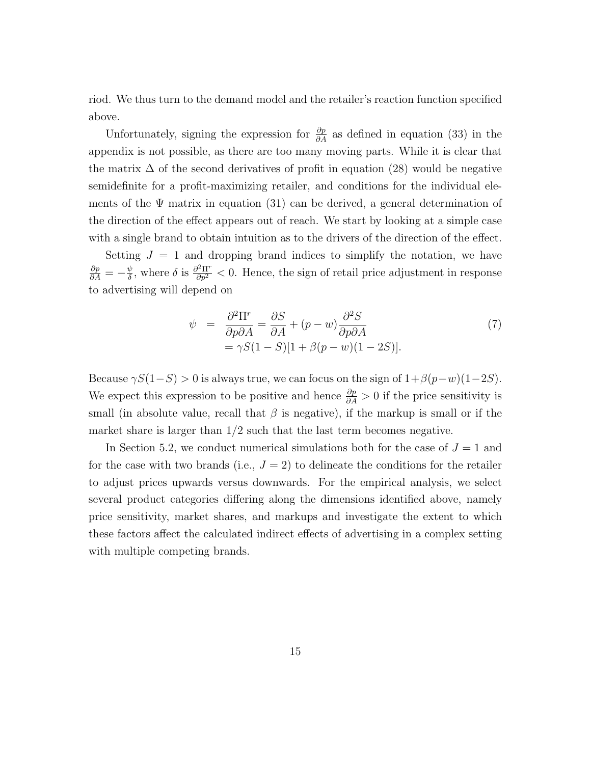riod. We thus turn to the demand model and the retailer's reaction function specified above.

Unfortunately, signing the expression for  $\frac{\partial p}{\partial A}$  as defined in equation (33) in the appendix is not possible, as there are too many moving parts. While it is clear that the matrix  $\Delta$  of the second derivatives of profit in equation (28) would be negative semidefinite for a profit-maximizing retailer, and conditions for the individual elements of the  $\Psi$  matrix in equation (31) can be derived, a general determination of the direction of the effect appears out of reach. We start by looking at a simple case with a single brand to obtain intuition as to the drivers of the direction of the effect.

Setting  $J = 1$  and dropping brand indices to simplify the notation, we have  $\frac{\partial p}{\partial A} = -\frac{\psi}{\delta}$  $\frac{\psi}{\delta}$ , where  $\delta$  is  $\frac{\partial^2 \Pi^r}{\partial p^2} < 0$ . Hence, the sign of retail price adjustment in response to advertising will depend on

$$
\psi = \frac{\partial^2 \Pi^r}{\partial p \partial A} = \frac{\partial S}{\partial A} + (p - w) \frac{\partial^2 S}{\partial p \partial A} \n= \gamma S(1 - S)[1 + \beta(p - w)(1 - 2S)].
$$
\n(7)

Because  $\gamma S(1-S) > 0$  is always true, we can focus on the sign of  $1+\beta(p-w)(1-2S)$ . We expect this expression to be positive and hence  $\frac{\partial p}{\partial A} > 0$  if the price sensitivity is small (in absolute value, recall that  $\beta$  is negative), if the markup is small or if the market share is larger than  $1/2$  such that the last term becomes negative.

In Section 5.2, we conduct numerical simulations both for the case of  $J = 1$  and for the case with two brands (i.e.,  $J = 2$ ) to delineate the conditions for the retailer to adjust prices upwards versus downwards. For the empirical analysis, we select several product categories differing along the dimensions identified above, namely price sensitivity, market shares, and markups and investigate the extent to which these factors affect the calculated indirect effects of advertising in a complex setting with multiple competing brands.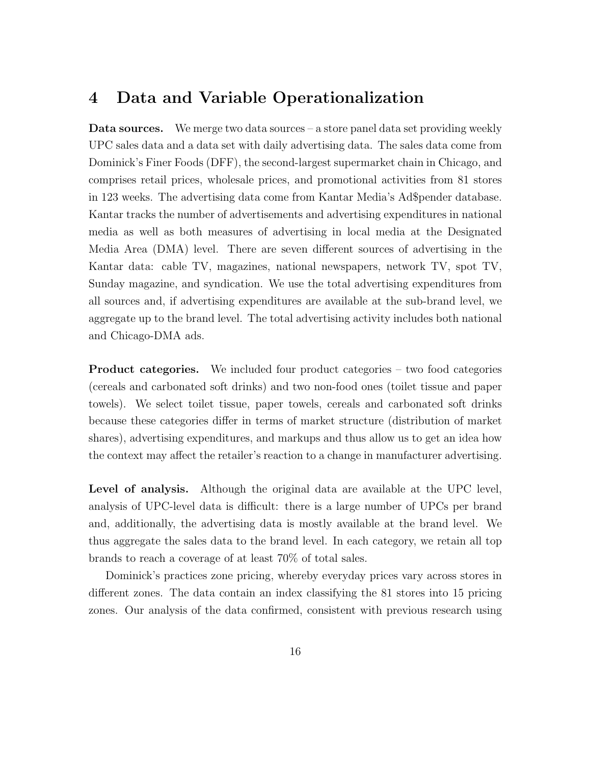#### 4 Data and Variable Operationalization

**Data sources.** We merge two data sources – a store panel data set providing weekly UPC sales data and a data set with daily advertising data. The sales data come from Dominick's Finer Foods (DFF), the second-largest supermarket chain in Chicago, and comprises retail prices, wholesale prices, and promotional activities from 81 stores in 123 weeks. The advertising data come from Kantar Media's Ad\$pender database. Kantar tracks the number of advertisements and advertising expenditures in national media as well as both measures of advertising in local media at the Designated Media Area (DMA) level. There are seven different sources of advertising in the Kantar data: cable TV, magazines, national newspapers, network TV, spot TV, Sunday magazine, and syndication. We use the total advertising expenditures from all sources and, if advertising expenditures are available at the sub-brand level, we aggregate up to the brand level. The total advertising activity includes both national and Chicago-DMA ads.

Product categories. We included four product categories – two food categories (cereals and carbonated soft drinks) and two non-food ones (toilet tissue and paper towels). We select toilet tissue, paper towels, cereals and carbonated soft drinks because these categories differ in terms of market structure (distribution of market shares), advertising expenditures, and markups and thus allow us to get an idea how the context may affect the retailer's reaction to a change in manufacturer advertising.

Level of analysis. Although the original data are available at the UPC level, analysis of UPC-level data is difficult: there is a large number of UPCs per brand and, additionally, the advertising data is mostly available at the brand level. We thus aggregate the sales data to the brand level. In each category, we retain all top brands to reach a coverage of at least 70% of total sales.

Dominick's practices zone pricing, whereby everyday prices vary across stores in different zones. The data contain an index classifying the 81 stores into 15 pricing zones. Our analysis of the data confirmed, consistent with previous research using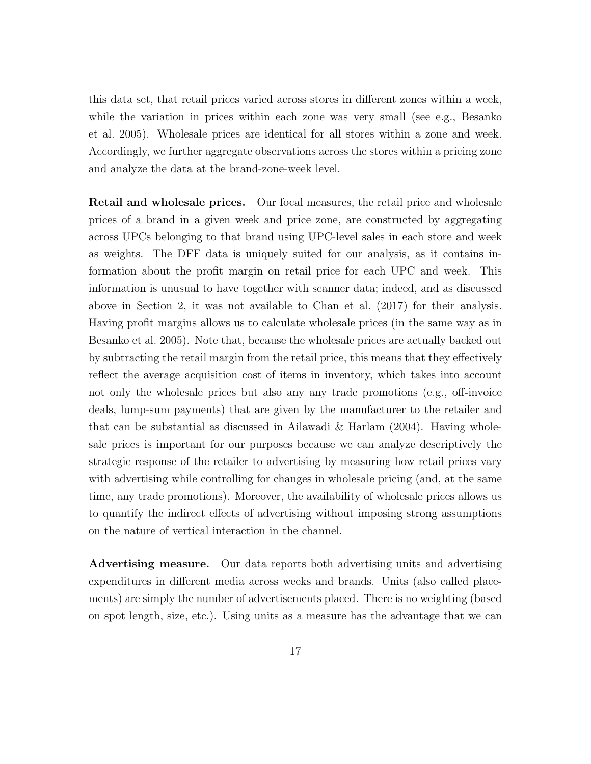this data set, that retail prices varied across stores in different zones within a week, while the variation in prices within each zone was very small (see e.g., Besanko et al. 2005). Wholesale prices are identical for all stores within a zone and week. Accordingly, we further aggregate observations across the stores within a pricing zone and analyze the data at the brand-zone-week level.

Retail and wholesale prices. Our focal measures, the retail price and wholesale prices of a brand in a given week and price zone, are constructed by aggregating across UPCs belonging to that brand using UPC-level sales in each store and week as weights. The DFF data is uniquely suited for our analysis, as it contains information about the profit margin on retail price for each UPC and week. This information is unusual to have together with scanner data; indeed, and as discussed above in Section 2, it was not available to Chan et al. (2017) for their analysis. Having profit margins allows us to calculate wholesale prices (in the same way as in Besanko et al. 2005). Note that, because the wholesale prices are actually backed out by subtracting the retail margin from the retail price, this means that they effectively reflect the average acquisition cost of items in inventory, which takes into account not only the wholesale prices but also any any trade promotions (e.g., off-invoice deals, lump-sum payments) that are given by the manufacturer to the retailer and that can be substantial as discussed in Ailawadi & Harlam (2004). Having wholesale prices is important for our purposes because we can analyze descriptively the strategic response of the retailer to advertising by measuring how retail prices vary with advertising while controlling for changes in wholesale pricing (and, at the same time, any trade promotions). Moreover, the availability of wholesale prices allows us to quantify the indirect effects of advertising without imposing strong assumptions on the nature of vertical interaction in the channel.

Advertising measure. Our data reports both advertising units and advertising expenditures in different media across weeks and brands. Units (also called placements) are simply the number of advertisements placed. There is no weighting (based on spot length, size, etc.). Using units as a measure has the advantage that we can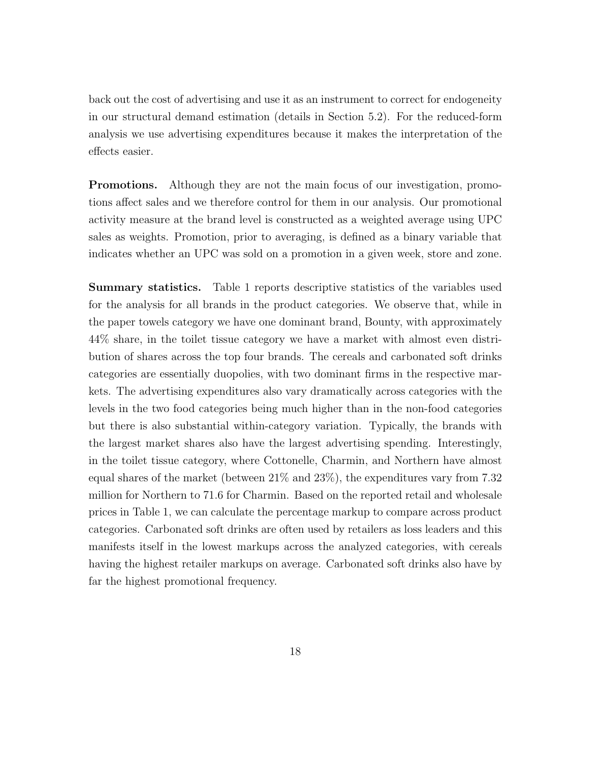back out the cost of advertising and use it as an instrument to correct for endogeneity in our structural demand estimation (details in Section 5.2). For the reduced-form analysis we use advertising expenditures because it makes the interpretation of the effects easier.

Promotions. Although they are not the main focus of our investigation, promotions affect sales and we therefore control for them in our analysis. Our promotional activity measure at the brand level is constructed as a weighted average using UPC sales as weights. Promotion, prior to averaging, is defined as a binary variable that indicates whether an UPC was sold on a promotion in a given week, store and zone.

Summary statistics. Table 1 reports descriptive statistics of the variables used for the analysis for all brands in the product categories. We observe that, while in the paper towels category we have one dominant brand, Bounty, with approximately 44% share, in the toilet tissue category we have a market with almost even distribution of shares across the top four brands. The cereals and carbonated soft drinks categories are essentially duopolies, with two dominant firms in the respective markets. The advertising expenditures also vary dramatically across categories with the levels in the two food categories being much higher than in the non-food categories but there is also substantial within-category variation. Typically, the brands with the largest market shares also have the largest advertising spending. Interestingly, in the toilet tissue category, where Cottonelle, Charmin, and Northern have almost equal shares of the market (between 21% and 23%), the expenditures vary from 7.32 million for Northern to 71.6 for Charmin. Based on the reported retail and wholesale prices in Table 1, we can calculate the percentage markup to compare across product categories. Carbonated soft drinks are often used by retailers as loss leaders and this manifests itself in the lowest markups across the analyzed categories, with cereals having the highest retailer markups on average. Carbonated soft drinks also have by far the highest promotional frequency.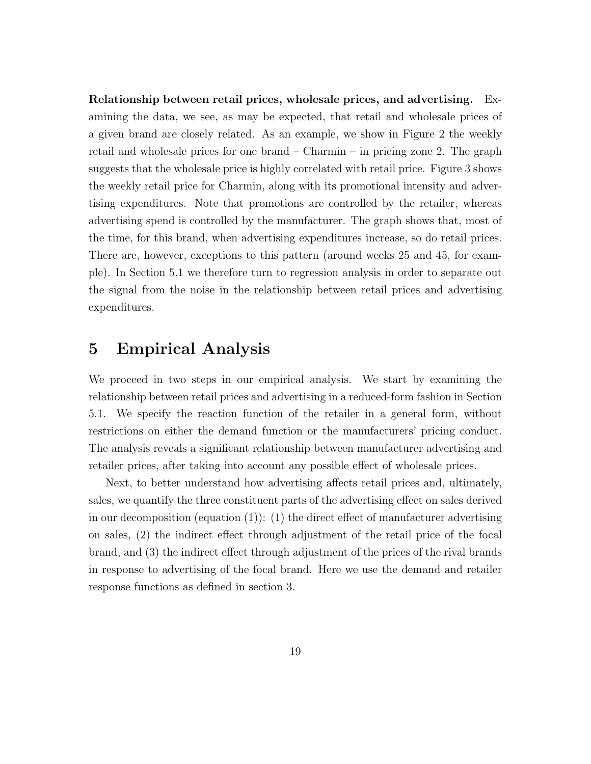Relationship between retail prices, wholesale prices, and advertising. Examining the data, we see, as may be expected, that retail and wholesale prices of a given brand are closely related. As an example, we show in Figure 2 the weekly retail and wholesale prices for one brand – Charmin – in pricing zone 2. The graph suggests that the wholesale price is highly correlated with retail price. Figure 3 shows the weekly retail price for Charmin, along with its promotional intensity and advertising expenditures. Note that promotions are controlled by the retailer, whereas advertising spend is controlled by the manufacturer. The graph shows that, most of the time, for this brand, when advertising expenditures increase, so do retail prices. There are, however, exceptions to this pattern (around weeks 25 and 45, for example). In Section 5.1 we therefore turn to regression analysis in order to separate out the signal from the noise in the relationship between retail prices and advertising expenditures.

#### 5 Empirical Analysis

We proceed in two steps in our empirical analysis. We start by examining the relationship between retail prices and advertising in a reduced-form fashion in Section 5.1. We specify the reaction function of the retailer in a general form, without restrictions on either the demand function or the manufacturers' pricing conduct. The analysis reveals a significant relationship between manufacturer advertising and retailer prices, after taking into account any possible effect of wholesale prices.

Next, to better understand how advertising affects retail prices and, ultimately, sales, we quantify the three constituent parts of the advertising effect on sales derived in our decomposition (equation  $(1)$ ):  $(1)$  the direct effect of manufacturer advertising on sales, (2) the indirect effect through adjustment of the retail price of the focal brand, and (3) the indirect effect through adjustment of the prices of the rival brands in response to advertising of the focal brand. Here we use the demand and retailer response functions as defined in section 3.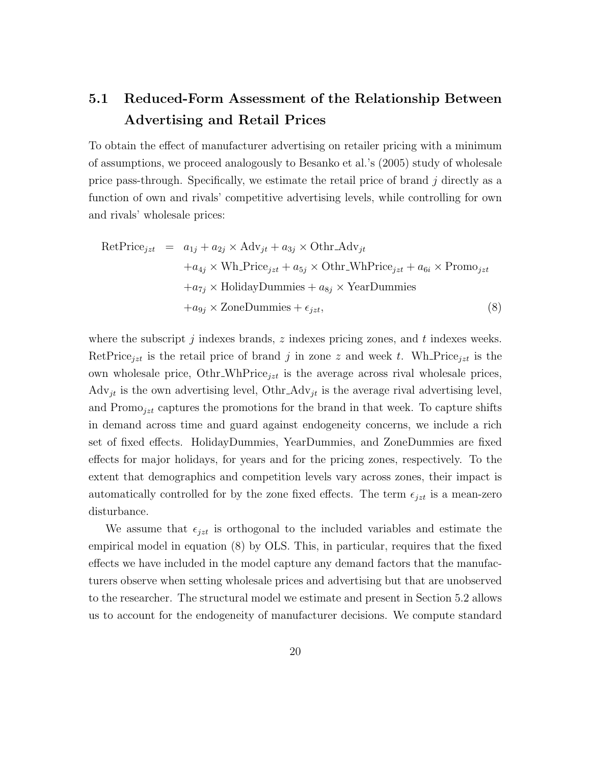## 5.1 Reduced-Form Assessment of the Relationship Between Advertising and Retail Prices

To obtain the effect of manufacturer advertising on retailer pricing with a minimum of assumptions, we proceed analogously to Besanko et al.'s (2005) study of wholesale price pass-through. Specifically, we estimate the retail price of brand  $j$  directly as a function of own and rivals' competitive advertising levels, while controlling for own and rivals' wholesale prices:

$$
RetPrice_{jzt} = a_{1j} + a_{2j} \times Adv_{jt} + a_{3j} \times Othr\_Adv_{jt}
$$
  
+ $a_{4j} \times Wh\_Price_{jzt} + a_{5j} \times Othr\_WhPrice_{jzt} + a_{6i} \times Promo_{jzt}$   
+ $a_{7j} \times HolidayDummies + a_{8j} \times YearDummies$   
+ $a_{9j} \times \text{ZoneDummies} + \epsilon_{jzt}$ , (8)

where the subscript  $j$  indexes brands,  $z$  indexes pricing zones, and  $t$  indexes weeks. RetPrice<sub>izt</sub> is the retail price of brand j in zone z and week t. Wh Price<sub>izt</sub> is the own wholesale price, Othr\_WhPrice<sub>jzt</sub> is the average across rival wholesale prices,  $\text{Adv}_{jt}$  is the own advertising level,  $\text{Othr\_Adv}_{jt}$  is the average rival advertising level, and Promo $_{jzt}$  captures the promotions for the brand in that week. To capture shifts in demand across time and guard against endogeneity concerns, we include a rich set of fixed effects. HolidayDummies, YearDummies, and ZoneDummies are fixed effects for major holidays, for years and for the pricing zones, respectively. To the extent that demographics and competition levels vary across zones, their impact is automatically controlled for by the zone fixed effects. The term  $\epsilon_{jzt}$  is a mean-zero disturbance.

We assume that  $\epsilon_{jzt}$  is orthogonal to the included variables and estimate the empirical model in equation (8) by OLS. This, in particular, requires that the fixed effects we have included in the model capture any demand factors that the manufacturers observe when setting wholesale prices and advertising but that are unobserved to the researcher. The structural model we estimate and present in Section 5.2 allows us to account for the endogeneity of manufacturer decisions. We compute standard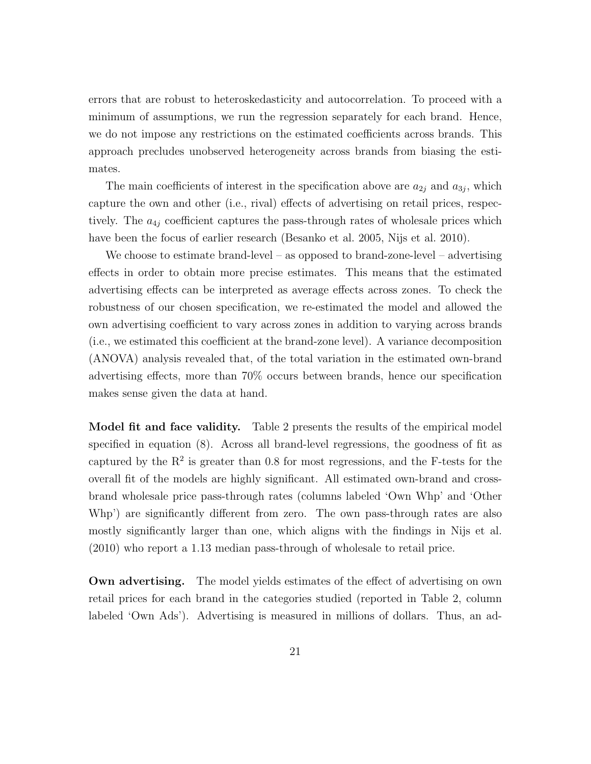errors that are robust to heteroskedasticity and autocorrelation. To proceed with a minimum of assumptions, we run the regression separately for each brand. Hence, we do not impose any restrictions on the estimated coefficients across brands. This approach precludes unobserved heterogeneity across brands from biasing the estimates.

The main coefficients of interest in the specification above are  $a_{2j}$  and  $a_{3j}$ , which capture the own and other (i.e., rival) effects of advertising on retail prices, respectively. The  $a_{4j}$  coefficient captures the pass-through rates of wholesale prices which have been the focus of earlier research (Besanko et al. 2005, Nijs et al. 2010).

We choose to estimate brand-level – as opposed to brand-zone-level – advertising effects in order to obtain more precise estimates. This means that the estimated advertising effects can be interpreted as average effects across zones. To check the robustness of our chosen specification, we re-estimated the model and allowed the own advertising coefficient to vary across zones in addition to varying across brands (i.e., we estimated this coefficient at the brand-zone level). A variance decomposition (ANOVA) analysis revealed that, of the total variation in the estimated own-brand advertising effects, more than 70% occurs between brands, hence our specification makes sense given the data at hand.

Model fit and face validity. Table 2 presents the results of the empirical model specified in equation (8). Across all brand-level regressions, the goodness of fit as captured by the  $R<sup>2</sup>$  is greater than 0.8 for most regressions, and the F-tests for the overall fit of the models are highly significant. All estimated own-brand and crossbrand wholesale price pass-through rates (columns labeled 'Own Whp' and 'Other Whp') are significantly different from zero. The own pass-through rates are also mostly significantly larger than one, which aligns with the findings in Nijs et al. (2010) who report a 1.13 median pass-through of wholesale to retail price.

Own advertising. The model yields estimates of the effect of advertising on own retail prices for each brand in the categories studied (reported in Table 2, column labeled 'Own Ads'). Advertising is measured in millions of dollars. Thus, an ad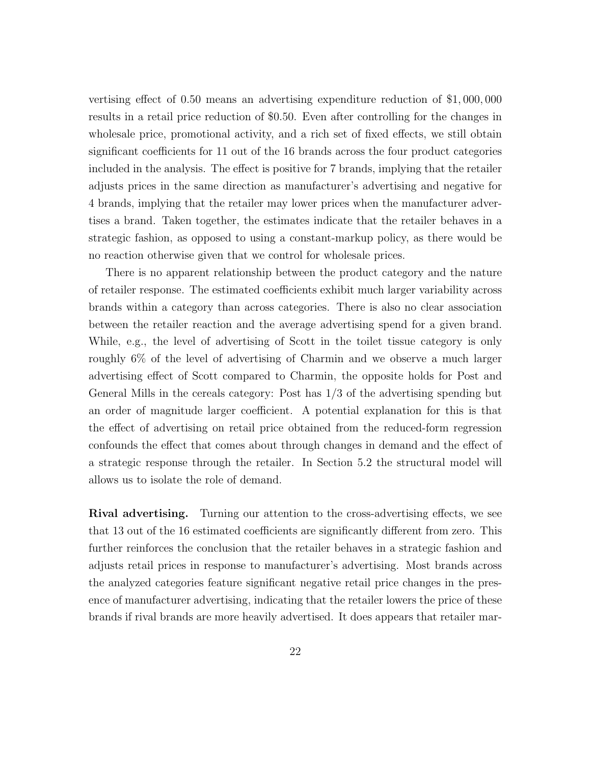vertising effect of 0.50 means an advertising expenditure reduction of \$1, 000, 000 results in a retail price reduction of \$0.50. Even after controlling for the changes in wholesale price, promotional activity, and a rich set of fixed effects, we still obtain significant coefficients for 11 out of the 16 brands across the four product categories included in the analysis. The effect is positive for 7 brands, implying that the retailer adjusts prices in the same direction as manufacturer's advertising and negative for 4 brands, implying that the retailer may lower prices when the manufacturer advertises a brand. Taken together, the estimates indicate that the retailer behaves in a strategic fashion, as opposed to using a constant-markup policy, as there would be no reaction otherwise given that we control for wholesale prices.

There is no apparent relationship between the product category and the nature of retailer response. The estimated coefficients exhibit much larger variability across brands within a category than across categories. There is also no clear association between the retailer reaction and the average advertising spend for a given brand. While, e.g., the level of advertising of Scott in the toilet tissue category is only roughly 6% of the level of advertising of Charmin and we observe a much larger advertising effect of Scott compared to Charmin, the opposite holds for Post and General Mills in the cereals category: Post has 1/3 of the advertising spending but an order of magnitude larger coefficient. A potential explanation for this is that the effect of advertising on retail price obtained from the reduced-form regression confounds the effect that comes about through changes in demand and the effect of a strategic response through the retailer. In Section 5.2 the structural model will allows us to isolate the role of demand.

Rival advertising. Turning our attention to the cross-advertising effects, we see that 13 out of the 16 estimated coefficients are significantly different from zero. This further reinforces the conclusion that the retailer behaves in a strategic fashion and adjusts retail prices in response to manufacturer's advertising. Most brands across the analyzed categories feature significant negative retail price changes in the presence of manufacturer advertising, indicating that the retailer lowers the price of these brands if rival brands are more heavily advertised. It does appears that retailer mar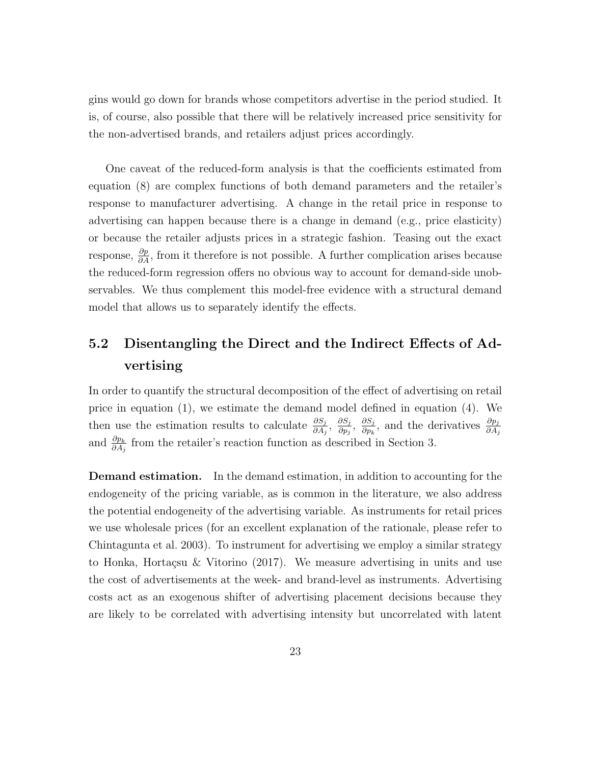gins would go down for brands whose competitors advertise in the period studied. It is, of course, also possible that there will be relatively increased price sensitivity for the non-advertised brands, and retailers adjust prices accordingly.

One caveat of the reduced-form analysis is that the coefficients estimated from equation (8) are complex functions of both demand parameters and the retailer's response to manufacturer advertising. A change in the retail price in response to advertising can happen because there is a change in demand (e.g., price elasticity) or because the retailer adjusts prices in a strategic fashion. Teasing out the exact response,  $\frac{\partial p}{\partial A}$ , from it therefore is not possible. A further complication arises because the reduced-form regression offers no obvious way to account for demand-side unobservables. We thus complement this model-free evidence with a structural demand model that allows us to separately identify the effects.

## 5.2 Disentangling the Direct and the Indirect Effects of Advertising

In order to quantify the structural decomposition of the effect of advertising on retail price in equation (1), we estimate the demand model defined in equation (4). We then use the estimation results to calculate  $\frac{\partial S_j}{\partial A_j}, \frac{\partial S_j}{\partial p_j}$  $\frac{\partial S_j}{\partial p_j}, \; \frac{\partial S_j}{\partial p_k}$  $\frac{\partial S_j}{\partial p_k}$ , and the derivatives  $\frac{\partial p_j}{\partial A_j}$ and  $\frac{\partial p_k}{\partial A_j}$  from the retailer's reaction function as described in Section 3.

Demand estimation. In the demand estimation, in addition to accounting for the endogeneity of the pricing variable, as is common in the literature, we also address the potential endogeneity of the advertising variable. As instruments for retail prices we use wholesale prices (for an excellent explanation of the rationale, please refer to Chintagunta et al. 2003). To instrument for advertising we employ a similar strategy to Honka, Hortaçsu & Vitorino  $(2017)$ . We measure advertising in units and use the cost of advertisements at the week- and brand-level as instruments. Advertising costs act as an exogenous shifter of advertising placement decisions because they are likely to be correlated with advertising intensity but uncorrelated with latent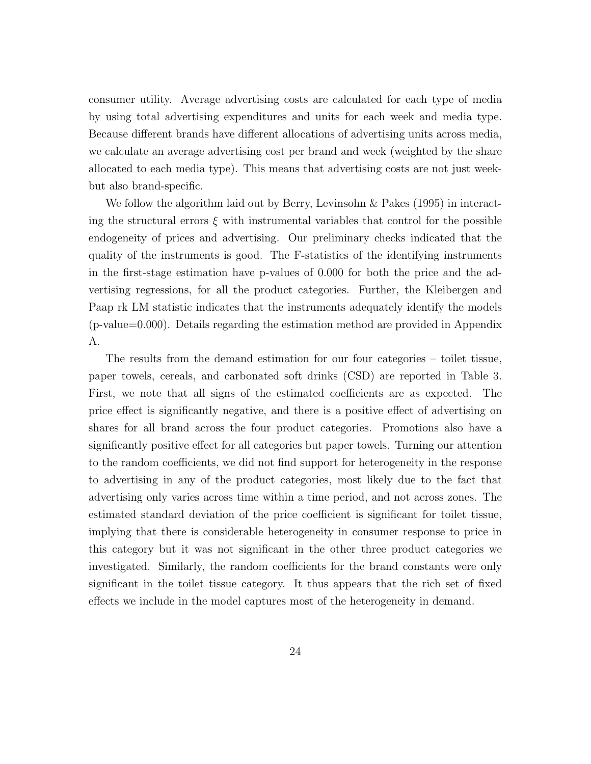consumer utility. Average advertising costs are calculated for each type of media by using total advertising expenditures and units for each week and media type. Because different brands have different allocations of advertising units across media, we calculate an average advertising cost per brand and week (weighted by the share allocated to each media type). This means that advertising costs are not just weekbut also brand-specific.

We follow the algorithm laid out by Berry, Levinsohn & Pakes (1995) in interacting the structural errors  $\xi$  with instrumental variables that control for the possible endogeneity of prices and advertising. Our preliminary checks indicated that the quality of the instruments is good. The F-statistics of the identifying instruments in the first-stage estimation have p-values of 0.000 for both the price and the advertising regressions, for all the product categories. Further, the Kleibergen and Paap rk LM statistic indicates that the instruments adequately identify the models (p-value=0.000). Details regarding the estimation method are provided in Appendix A.

The results from the demand estimation for our four categories – toilet tissue, paper towels, cereals, and carbonated soft drinks (CSD) are reported in Table 3. First, we note that all signs of the estimated coefficients are as expected. The price effect is significantly negative, and there is a positive effect of advertising on shares for all brand across the four product categories. Promotions also have a significantly positive effect for all categories but paper towels. Turning our attention to the random coefficients, we did not find support for heterogeneity in the response to advertising in any of the product categories, most likely due to the fact that advertising only varies across time within a time period, and not across zones. The estimated standard deviation of the price coefficient is significant for toilet tissue, implying that there is considerable heterogeneity in consumer response to price in this category but it was not significant in the other three product categories we investigated. Similarly, the random coefficients for the brand constants were only significant in the toilet tissue category. It thus appears that the rich set of fixed effects we include in the model captures most of the heterogeneity in demand.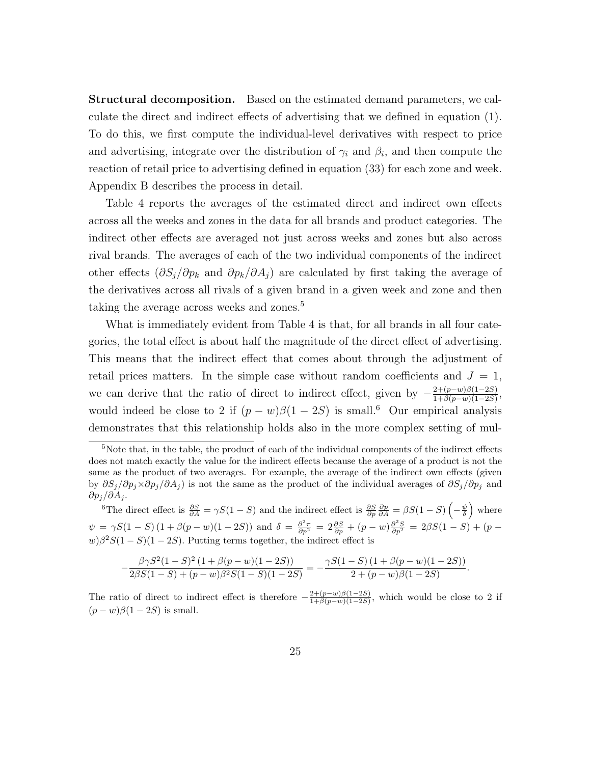Structural decomposition. Based on the estimated demand parameters, we calculate the direct and indirect effects of advertising that we defined in equation (1). To do this, we first compute the individual-level derivatives with respect to price and advertising, integrate over the distribution of  $\gamma_i$  and  $\beta_i$ , and then compute the reaction of retail price to advertising defined in equation (33) for each zone and week. Appendix B describes the process in detail.

Table 4 reports the averages of the estimated direct and indirect own effects across all the weeks and zones in the data for all brands and product categories. The indirect other effects are averaged not just across weeks and zones but also across rival brands. The averages of each of the two individual components of the indirect other effects  $(\partial S_j/\partial p_k$  and  $\partial p_k/\partial A_j)$  are calculated by first taking the average of the derivatives across all rivals of a given brand in a given week and zone and then taking the average across weeks and zones.<sup>5</sup>

What is immediately evident from Table 4 is that, for all brands in all four categories, the total effect is about half the magnitude of the direct effect of advertising. This means that the indirect effect that comes about through the adjustment of retail prices matters. In the simple case without random coefficients and  $J = 1$ , we can derive that the ratio of direct to indirect effect, given by  $-\frac{2+(p-w)\beta(1-2S)}{1+\beta(p-w)(1-2S)}$  $\frac{2+(p-w)\beta(1-2S)}{1+\beta(p-w)(1-2S)},$ would indeed be close to 2 if  $(p - w)\beta(1 - 2S)$  is small.<sup>6</sup> Our empirical analysis demonstrates that this relationship holds also in the more complex setting of mul-

$$
-\frac{\beta\gamma S^2(1-S)^2(1+\beta(p-w)(1-2S))}{2\beta S(1-S)+(p-w)\beta^2 S(1-S)(1-2S)}=-\frac{\gamma S(1-S)(1+\beta(p-w)(1-2S))}{2+(p-w)\beta(1-2S)}.
$$

The ratio of direct to indirect effect is therefore  $-\frac{2+(p-w)\beta(1-2S)}{1+\beta(p-w)(1-2S)}$  $\frac{2+(p-w)\beta(1-2S)}{1+\beta(p-w)(1-2S)}$ , which would be close to 2 if  $(p - w)\beta(1 - 2S)$  is small.

 $5$ Note that, in the table, the product of each of the individual components of the indirect effects does not match exactly the value for the indirect effects because the average of a product is not the same as the product of two averages. For example, the average of the indirect own effects (given by  $\partial S_j/\partial p_j \times \partial p_j/\partial A_j$  is not the same as the product of the individual averages of  $\partial S_j/\partial p_j$  and  $\partial p_j/\partial A_j$ .

<sup>&</sup>lt;sup>6</sup>The direct effect is  $\frac{\partial S}{\partial A} = \gamma S(1-S)$  and the indirect effect is  $\frac{\partial S}{\partial p} \frac{\partial p}{\partial A} = \beta S(1-S)\left(-\frac{\psi}{\delta}\right)$  where  $\psi = \gamma S(1-S)(1+\beta(p-w)(1-2S))$  and  $\delta = \frac{\partial^2 \pi}{\partial p^2} = 2\frac{\partial S}{\partial p} + (p-w)\frac{\partial^2 S}{\partial p^2} = 2\beta S(1-S) + (p-w)\frac{\partial^2 S}{\partial p^2}$  $w)\beta^2S(1-S)(1-2S)$ . Putting terms together, the indirect effect is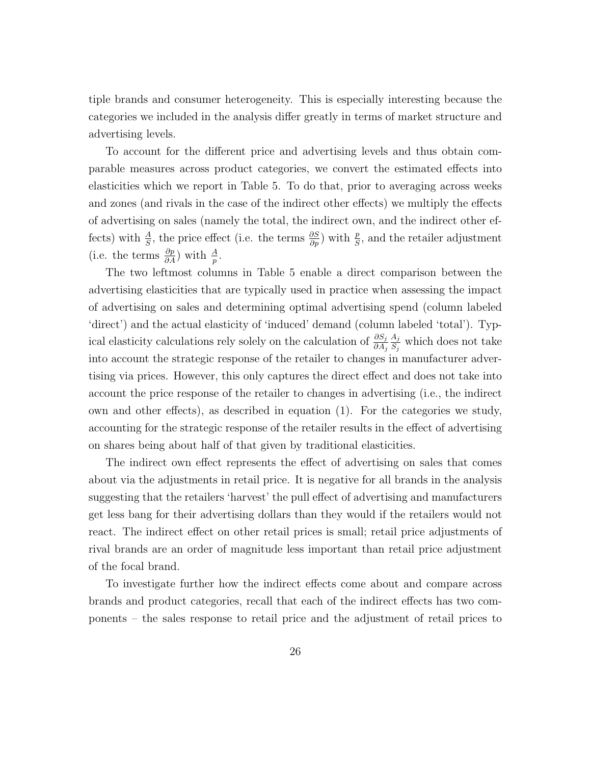tiple brands and consumer heterogeneity. This is especially interesting because the categories we included in the analysis differ greatly in terms of market structure and advertising levels.

To account for the different price and advertising levels and thus obtain comparable measures across product categories, we convert the estimated effects into elasticities which we report in Table 5. To do that, prior to averaging across weeks and zones (and rivals in the case of the indirect other effects) we multiply the effects of advertising on sales (namely the total, the indirect own, and the indirect other effects) with  $\frac{A}{S}$ , the price effect (i.e. the terms  $\frac{\partial S}{\partial p}$ ) with  $\frac{p}{S}$ , and the retailer adjustment (i.e. the terms  $\frac{\partial p}{\partial A}$ ) with  $\frac{A}{p}$ .

The two leftmost columns in Table 5 enable a direct comparison between the advertising elasticities that are typically used in practice when assessing the impact of advertising on sales and determining optimal advertising spend (column labeled 'direct') and the actual elasticity of 'induced' demand (column labeled 'total'). Typical elasticity calculations rely solely on the calculation of  $\frac{\partial S_j}{\partial A_j}$  $A_j$  $\frac{A_j}{S_j}$  which does not take into account the strategic response of the retailer to changes in manufacturer advertising via prices. However, this only captures the direct effect and does not take into account the price response of the retailer to changes in advertising (i.e., the indirect own and other effects), as described in equation (1). For the categories we study, accounting for the strategic response of the retailer results in the effect of advertising on shares being about half of that given by traditional elasticities.

The indirect own effect represents the effect of advertising on sales that comes about via the adjustments in retail price. It is negative for all brands in the analysis suggesting that the retailers 'harvest' the pull effect of advertising and manufacturers get less bang for their advertising dollars than they would if the retailers would not react. The indirect effect on other retail prices is small; retail price adjustments of rival brands are an order of magnitude less important than retail price adjustment of the focal brand.

To investigate further how the indirect effects come about and compare across brands and product categories, recall that each of the indirect effects has two components – the sales response to retail price and the adjustment of retail prices to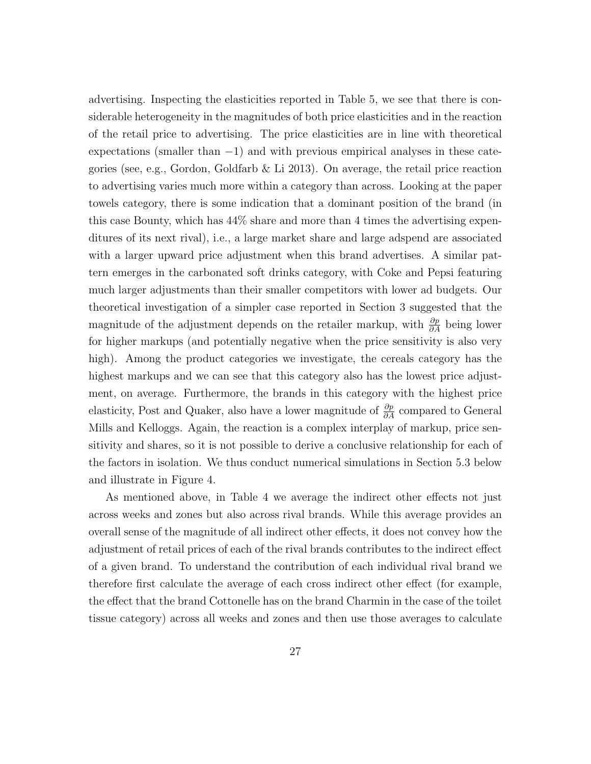advertising. Inspecting the elasticities reported in Table 5, we see that there is considerable heterogeneity in the magnitudes of both price elasticities and in the reaction of the retail price to advertising. The price elasticities are in line with theoretical expectations (smaller than  $-1$ ) and with previous empirical analyses in these categories (see, e.g., Gordon, Goldfarb & Li 2013). On average, the retail price reaction to advertising varies much more within a category than across. Looking at the paper towels category, there is some indication that a dominant position of the brand (in this case Bounty, which has 44% share and more than 4 times the advertising expenditures of its next rival), i.e., a large market share and large adspend are associated with a larger upward price adjustment when this brand advertises. A similar pattern emerges in the carbonated soft drinks category, with Coke and Pepsi featuring much larger adjustments than their smaller competitors with lower ad budgets. Our theoretical investigation of a simpler case reported in Section 3 suggested that the magnitude of the adjustment depends on the retailer markup, with  $\frac{\partial p}{\partial A}$  being lower for higher markups (and potentially negative when the price sensitivity is also very high). Among the product categories we investigate, the cereals category has the highest markups and we can see that this category also has the lowest price adjustment, on average. Furthermore, the brands in this category with the highest price elasticity, Post and Quaker, also have a lower magnitude of  $\frac{\partial p}{\partial A}$  compared to General Mills and Kelloggs. Again, the reaction is a complex interplay of markup, price sensitivity and shares, so it is not possible to derive a conclusive relationship for each of the factors in isolation. We thus conduct numerical simulations in Section 5.3 below and illustrate in Figure 4.

As mentioned above, in Table 4 we average the indirect other effects not just across weeks and zones but also across rival brands. While this average provides an overall sense of the magnitude of all indirect other effects, it does not convey how the adjustment of retail prices of each of the rival brands contributes to the indirect effect of a given brand. To understand the contribution of each individual rival brand we therefore first calculate the average of each cross indirect other effect (for example, the effect that the brand Cottonelle has on the brand Charmin in the case of the toilet tissue category) across all weeks and zones and then use those averages to calculate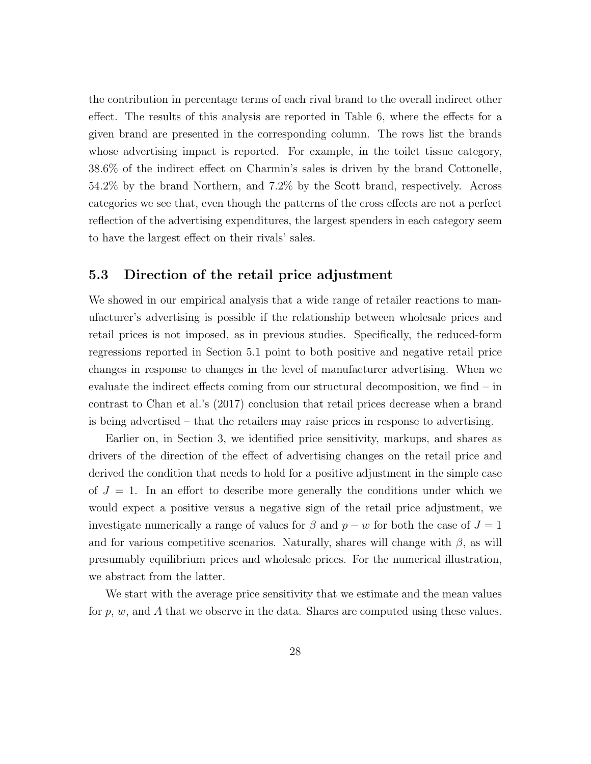the contribution in percentage terms of each rival brand to the overall indirect other effect. The results of this analysis are reported in Table 6, where the effects for a given brand are presented in the corresponding column. The rows list the brands whose advertising impact is reported. For example, in the toilet tissue category, 38.6% of the indirect effect on Charmin's sales is driven by the brand Cottonelle, 54.2% by the brand Northern, and 7.2% by the Scott brand, respectively. Across categories we see that, even though the patterns of the cross effects are not a perfect reflection of the advertising expenditures, the largest spenders in each category seem to have the largest effect on their rivals' sales.

#### 5.3 Direction of the retail price adjustment

We showed in our empirical analysis that a wide range of retailer reactions to manufacturer's advertising is possible if the relationship between wholesale prices and retail prices is not imposed, as in previous studies. Specifically, the reduced-form regressions reported in Section 5.1 point to both positive and negative retail price changes in response to changes in the level of manufacturer advertising. When we evaluate the indirect effects coming from our structural decomposition, we find – in contrast to Chan et al.'s (2017) conclusion that retail prices decrease when a brand is being advertised – that the retailers may raise prices in response to advertising.

Earlier on, in Section 3, we identified price sensitivity, markups, and shares as drivers of the direction of the effect of advertising changes on the retail price and derived the condition that needs to hold for a positive adjustment in the simple case of  $J = 1$ . In an effort to describe more generally the conditions under which we would expect a positive versus a negative sign of the retail price adjustment, we investigate numerically a range of values for  $\beta$  and  $p - w$  for both the case of  $J = 1$ and for various competitive scenarios. Naturally, shares will change with  $\beta$ , as will presumably equilibrium prices and wholesale prices. For the numerical illustration, we abstract from the latter.

We start with the average price sensitivity that we estimate and the mean values for  $p, w$ , and A that we observe in the data. Shares are computed using these values.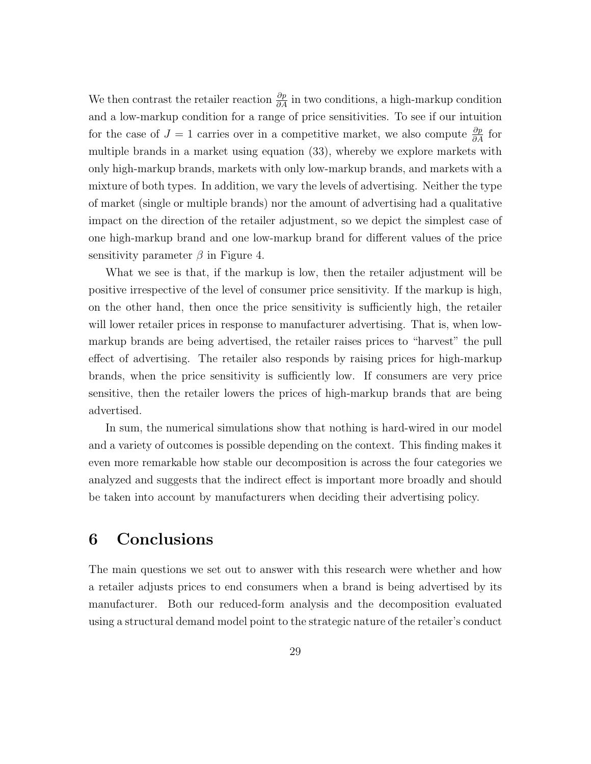We then contrast the retailer reaction  $\frac{\partial p}{\partial A}$  in two conditions, a high-markup condition and a low-markup condition for a range of price sensitivities. To see if our intuition for the case of  $J = 1$  carries over in a competitive market, we also compute  $\frac{\partial p}{\partial A}$  for multiple brands in a market using equation (33), whereby we explore markets with only high-markup brands, markets with only low-markup brands, and markets with a mixture of both types. In addition, we vary the levels of advertising. Neither the type of market (single or multiple brands) nor the amount of advertising had a qualitative impact on the direction of the retailer adjustment, so we depict the simplest case of one high-markup brand and one low-markup brand for different values of the price sensitivity parameter  $\beta$  in Figure 4.

What we see is that, if the markup is low, then the retailer adjustment will be positive irrespective of the level of consumer price sensitivity. If the markup is high, on the other hand, then once the price sensitivity is sufficiently high, the retailer will lower retailer prices in response to manufacturer advertising. That is, when lowmarkup brands are being advertised, the retailer raises prices to "harvest" the pull effect of advertising. The retailer also responds by raising prices for high-markup brands, when the price sensitivity is sufficiently low. If consumers are very price sensitive, then the retailer lowers the prices of high-markup brands that are being advertised.

In sum, the numerical simulations show that nothing is hard-wired in our model and a variety of outcomes is possible depending on the context. This finding makes it even more remarkable how stable our decomposition is across the four categories we analyzed and suggests that the indirect effect is important more broadly and should be taken into account by manufacturers when deciding their advertising policy.

## 6 Conclusions

The main questions we set out to answer with this research were whether and how a retailer adjusts prices to end consumers when a brand is being advertised by its manufacturer. Both our reduced-form analysis and the decomposition evaluated using a structural demand model point to the strategic nature of the retailer's conduct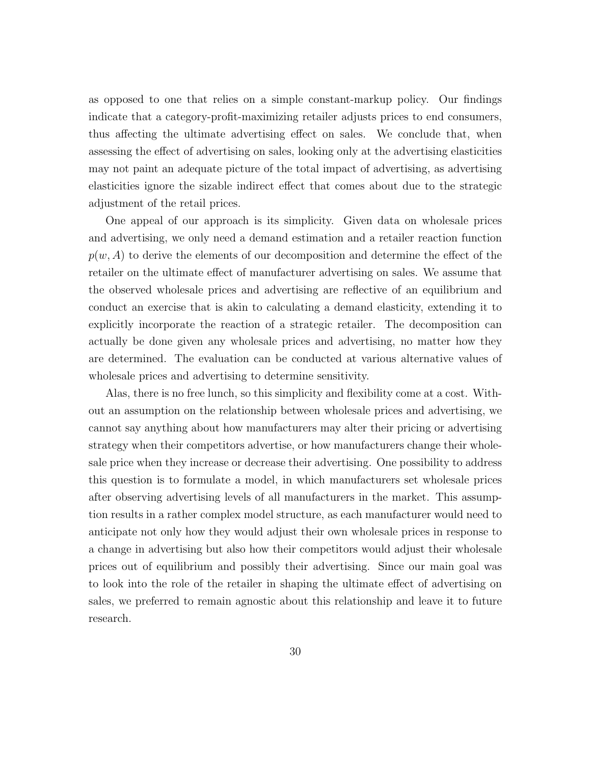as opposed to one that relies on a simple constant-markup policy. Our findings indicate that a category-profit-maximizing retailer adjusts prices to end consumers, thus affecting the ultimate advertising effect on sales. We conclude that, when assessing the effect of advertising on sales, looking only at the advertising elasticities may not paint an adequate picture of the total impact of advertising, as advertising elasticities ignore the sizable indirect effect that comes about due to the strategic adjustment of the retail prices.

One appeal of our approach is its simplicity. Given data on wholesale prices and advertising, we only need a demand estimation and a retailer reaction function  $p(w, A)$  to derive the elements of our decomposition and determine the effect of the retailer on the ultimate effect of manufacturer advertising on sales. We assume that the observed wholesale prices and advertising are reflective of an equilibrium and conduct an exercise that is akin to calculating a demand elasticity, extending it to explicitly incorporate the reaction of a strategic retailer. The decomposition can actually be done given any wholesale prices and advertising, no matter how they are determined. The evaluation can be conducted at various alternative values of wholesale prices and advertising to determine sensitivity.

Alas, there is no free lunch, so this simplicity and flexibility come at a cost. Without an assumption on the relationship between wholesale prices and advertising, we cannot say anything about how manufacturers may alter their pricing or advertising strategy when their competitors advertise, or how manufacturers change their wholesale price when they increase or decrease their advertising. One possibility to address this question is to formulate a model, in which manufacturers set wholesale prices after observing advertising levels of all manufacturers in the market. This assumption results in a rather complex model structure, as each manufacturer would need to anticipate not only how they would adjust their own wholesale prices in response to a change in advertising but also how their competitors would adjust their wholesale prices out of equilibrium and possibly their advertising. Since our main goal was to look into the role of the retailer in shaping the ultimate effect of advertising on sales, we preferred to remain agnostic about this relationship and leave it to future research.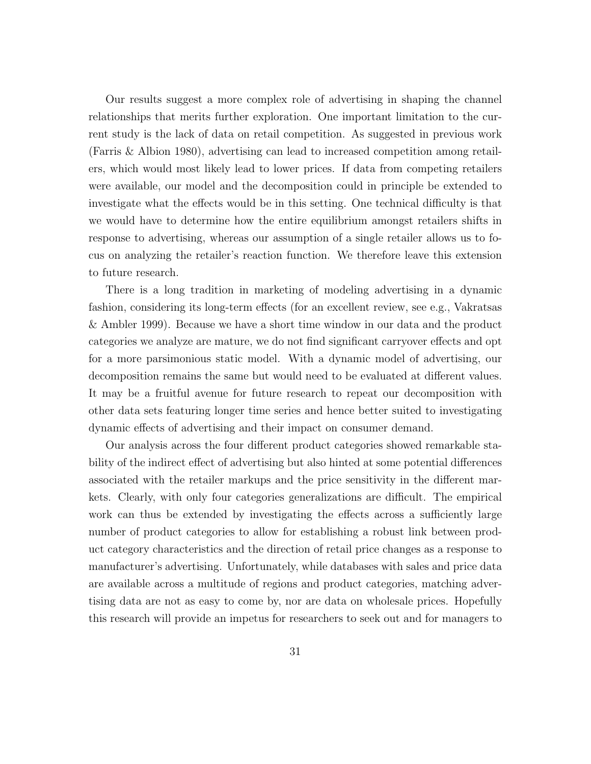Our results suggest a more complex role of advertising in shaping the channel relationships that merits further exploration. One important limitation to the current study is the lack of data on retail competition. As suggested in previous work (Farris & Albion 1980), advertising can lead to increased competition among retailers, which would most likely lead to lower prices. If data from competing retailers were available, our model and the decomposition could in principle be extended to investigate what the effects would be in this setting. One technical difficulty is that we would have to determine how the entire equilibrium amongst retailers shifts in response to advertising, whereas our assumption of a single retailer allows us to focus on analyzing the retailer's reaction function. We therefore leave this extension to future research.

There is a long tradition in marketing of modeling advertising in a dynamic fashion, considering its long-term effects (for an excellent review, see e.g., Vakratsas & Ambler 1999). Because we have a short time window in our data and the product categories we analyze are mature, we do not find significant carryover effects and opt for a more parsimonious static model. With a dynamic model of advertising, our decomposition remains the same but would need to be evaluated at different values. It may be a fruitful avenue for future research to repeat our decomposition with other data sets featuring longer time series and hence better suited to investigating dynamic effects of advertising and their impact on consumer demand.

Our analysis across the four different product categories showed remarkable stability of the indirect effect of advertising but also hinted at some potential differences associated with the retailer markups and the price sensitivity in the different markets. Clearly, with only four categories generalizations are difficult. The empirical work can thus be extended by investigating the effects across a sufficiently large number of product categories to allow for establishing a robust link between product category characteristics and the direction of retail price changes as a response to manufacturer's advertising. Unfortunately, while databases with sales and price data are available across a multitude of regions and product categories, matching advertising data are not as easy to come by, nor are data on wholesale prices. Hopefully this research will provide an impetus for researchers to seek out and for managers to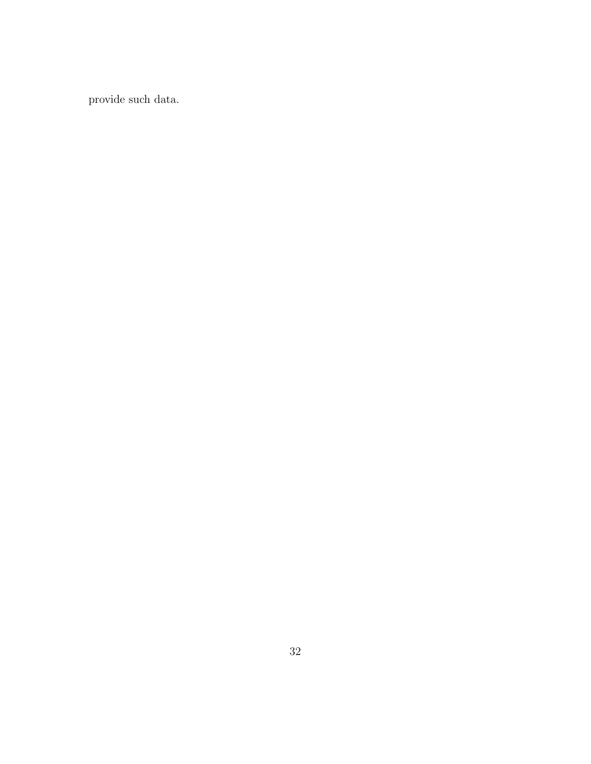provide such data.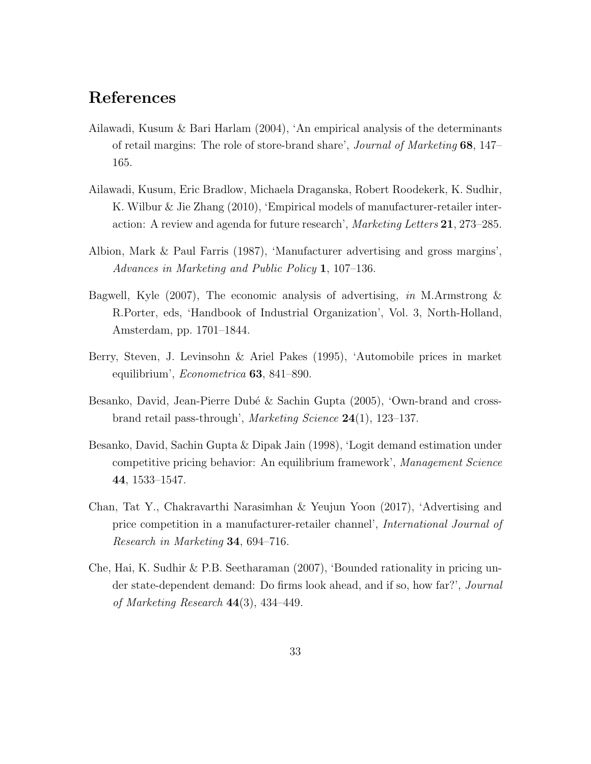### References

- Ailawadi, Kusum & Bari Harlam (2004), 'An empirical analysis of the determinants of retail margins: The role of store-brand share', Journal of Marketing 68, 147– 165.
- Ailawadi, Kusum, Eric Bradlow, Michaela Draganska, Robert Roodekerk, K. Sudhir, K. Wilbur & Jie Zhang (2010), 'Empirical models of manufacturer-retailer interaction: A review and agenda for future research', Marketing Letters 21, 273–285.
- Albion, Mark & Paul Farris (1987), 'Manufacturer advertising and gross margins', Advances in Marketing and Public Policy 1, 107–136.
- Bagwell, Kyle (2007), The economic analysis of advertising, in M.Armstrong  $\&$ R.Porter, eds, 'Handbook of Industrial Organization', Vol. 3, North-Holland, Amsterdam, pp. 1701–1844.
- Berry, Steven, J. Levinsohn & Ariel Pakes (1995), 'Automobile prices in market equilibrium', Econometrica 63, 841–890.
- Besanko, David, Jean-Pierre Dubé & Sachin Gupta (2005), 'Own-brand and crossbrand retail pass-through', Marketing Science 24(1), 123–137.
- Besanko, David, Sachin Gupta & Dipak Jain (1998), 'Logit demand estimation under competitive pricing behavior: An equilibrium framework', Management Science 44, 1533–1547.
- Chan, Tat Y., Chakravarthi Narasimhan & Yeujun Yoon (2017), 'Advertising and price competition in a manufacturer-retailer channel', International Journal of Research in Marketing 34, 694–716.
- Che, Hai, K. Sudhir & P.B. Seetharaman (2007), 'Bounded rationality in pricing under state-dependent demand: Do firms look ahead, and if so, how far?', Journal of Marketing Research 44(3), 434–449.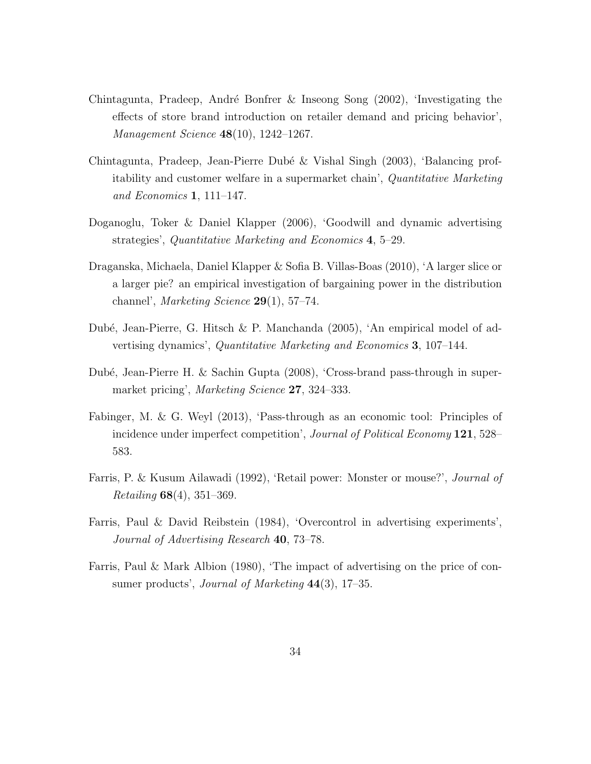- Chintagunta, Pradeep, André Bonfrer & Inseong Song  $(2002)$ , 'Investigating the effects of store brand introduction on retailer demand and pricing behavior', Management Science 48(10), 1242–1267.
- Chintagunta, Pradeep, Jean-Pierre Dub´e & Vishal Singh (2003), 'Balancing profitability and customer welfare in a supermarket chain', Quantitative Marketing and Economics 1, 111–147.
- Doganoglu, Toker & Daniel Klapper (2006), 'Goodwill and dynamic advertising strategies', Quantitative Marketing and Economics 4, 5–29.
- Draganska, Michaela, Daniel Klapper & Sofia B. Villas-Boas (2010), 'A larger slice or a larger pie? an empirical investigation of bargaining power in the distribution channel', Marketing Science  $29(1)$ , 57–74.
- Dubé, Jean-Pierre, G. Hitsch & P. Manchanda (2005), 'An empirical model of advertising dynamics', Quantitative Marketing and Economics 3, 107–144.
- Dub´e, Jean-Pierre H. & Sachin Gupta (2008), 'Cross-brand pass-through in supermarket pricing', Marketing Science 27, 324–333.
- Fabinger, M. & G. Weyl (2013), 'Pass-through as an economic tool: Principles of incidence under imperfect competition', Journal of Political Economy 121, 528– 583.
- Farris, P. & Kusum Ailawadi (1992), 'Retail power: Monster or mouse?', Journal of Retailing 68(4), 351–369.
- Farris, Paul & David Reibstein (1984), 'Overcontrol in advertising experiments', Journal of Advertising Research 40, 73–78.
- Farris, Paul & Mark Albion (1980), 'The impact of advertising on the price of consumer products', *Journal of Marketing*  $44(3)$ , 17–35.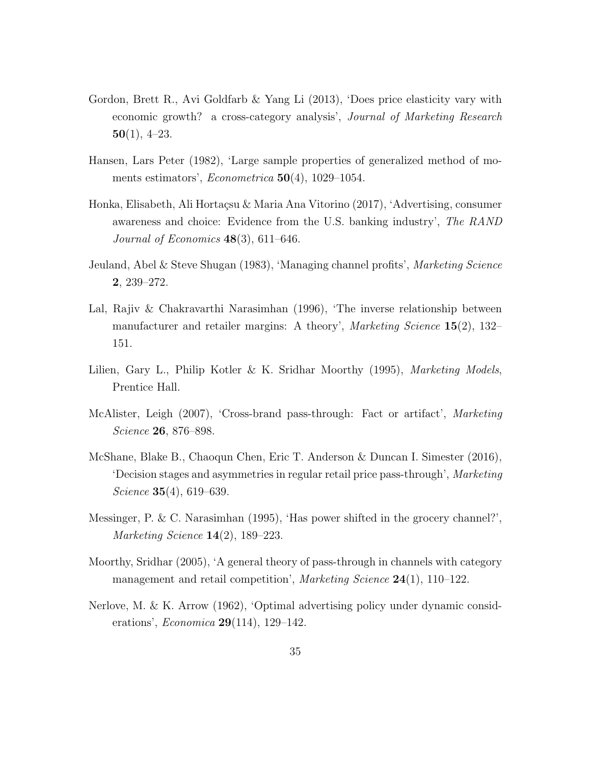- Gordon, Brett R., Avi Goldfarb & Yang Li (2013), 'Does price elasticity vary with economic growth? a cross-category analysis', Journal of Marketing Research  $50(1), 4-23.$
- Hansen, Lars Peter (1982), 'Large sample properties of generalized method of moments estimators', *Econometrica* 50(4), 1029–1054.
- Honka, Elisabeth, Ali Hortaçsu & Maria Ana Vitorino (2017), 'Advertising, consumer awareness and choice: Evidence from the U.S. banking industry', The RAND Journal of Economics  $48(3)$ , 611–646.
- Jeuland, Abel & Steve Shugan (1983), 'Managing channel profits', Marketing Science 2, 239–272.
- Lal, Rajiv & Chakravarthi Narasimhan (1996), 'The inverse relationship between manufacturer and retailer margins: A theory', *Marketing Science*  $15(2)$ ,  $132-$ 151.
- Lilien, Gary L., Philip Kotler & K. Sridhar Moorthy (1995), *Marketing Models*, Prentice Hall.
- McAlister, Leigh (2007), 'Cross-brand pass-through: Fact or artifact', Marketing Science 26, 876–898.
- McShane, Blake B., Chaoqun Chen, Eric T. Anderson & Duncan I. Simester (2016), 'Decision stages and asymmetries in regular retail price pass-through', Marketing Science **35**(4), 619–639.
- Messinger, P. & C. Narasimhan (1995), 'Has power shifted in the grocery channel?', Marketing Science 14(2), 189–223.
- Moorthy, Sridhar (2005), 'A general theory of pass-through in channels with category management and retail competition', Marketing Science 24(1), 110–122.
- Nerlove, M. & K. Arrow (1962), 'Optimal advertising policy under dynamic considerations', *Economica* **29**(114), 129–142.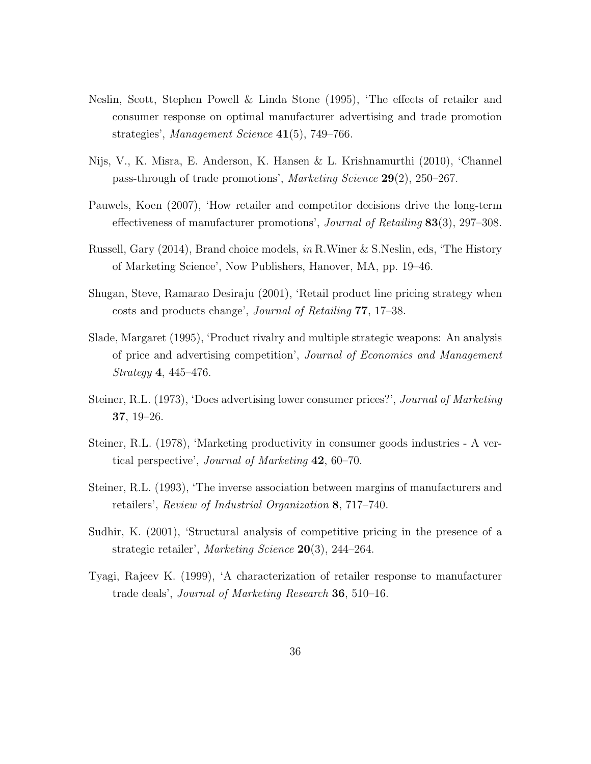- Neslin, Scott, Stephen Powell & Linda Stone (1995), 'The effects of retailer and consumer response on optimal manufacturer advertising and trade promotion strategies', Management Science 41(5), 749–766.
- Nijs, V., K. Misra, E. Anderson, K. Hansen & L. Krishnamurthi (2010), 'Channel pass-through of trade promotions', Marketing Science 29(2), 250–267.
- Pauwels, Koen (2007), 'How retailer and competitor decisions drive the long-term effectiveness of manufacturer promotions', Journal of Retailing 83(3), 297–308.
- Russell, Gary (2014), Brand choice models, in R.Winer & S.Neslin, eds, 'The History of Marketing Science', Now Publishers, Hanover, MA, pp. 19–46.
- Shugan, Steve, Ramarao Desiraju (2001), 'Retail product line pricing strategy when costs and products change', Journal of Retailing 77, 17–38.
- Slade, Margaret (1995), 'Product rivalry and multiple strategic weapons: An analysis of price and advertising competition', Journal of Economics and Management Strategy 4, 445–476.
- Steiner, R.L. (1973), 'Does advertising lower consumer prices?', Journal of Marketing 37, 19–26.
- Steiner, R.L. (1978), 'Marketing productivity in consumer goods industries A vertical perspective', Journal of Marketing 42, 60–70.
- Steiner, R.L. (1993), 'The inverse association between margins of manufacturers and retailers', Review of Industrial Organization 8, 717–740.
- Sudhir, K. (2001), 'Structural analysis of competitive pricing in the presence of a strategic retailer', Marketing Science 20(3), 244–264.
- Tyagi, Rajeev K. (1999), 'A characterization of retailer response to manufacturer trade deals', Journal of Marketing Research 36, 510–16.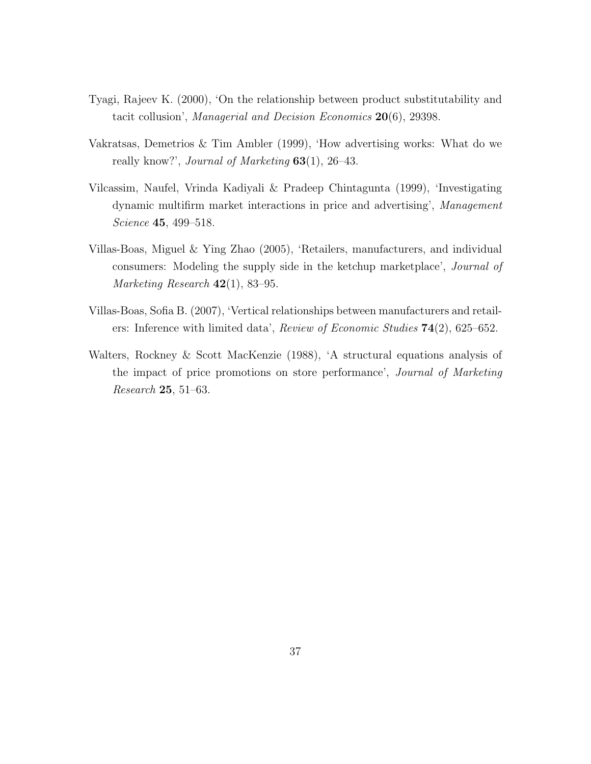- Tyagi, Rajeev K. (2000), 'On the relationship between product substitutability and tacit collusion', Managerial and Decision Economics 20(6), 29398.
- Vakratsas, Demetrios & Tim Ambler (1999), 'How advertising works: What do we really know?', *Journal of Marketing*  $63(1)$ , 26–43.
- Vilcassim, Naufel, Vrinda Kadiyali & Pradeep Chintagunta (1999), 'Investigating dynamic multifirm market interactions in price and advertising', Management Science **45**, 499–518.
- Villas-Boas, Miguel & Ying Zhao (2005), 'Retailers, manufacturers, and individual consumers: Modeling the supply side in the ketchup marketplace', *Journal of* Marketing Research  $42(1)$ , 83–95.
- Villas-Boas, Sofia B. (2007), 'Vertical relationships between manufacturers and retailers: Inference with limited data', Review of Economic Studies  $74(2)$ , 625–652.
- Walters, Rockney & Scott MacKenzie (1988), 'A structural equations analysis of the impact of price promotions on store performance', Journal of Marketing Research 25, 51–63.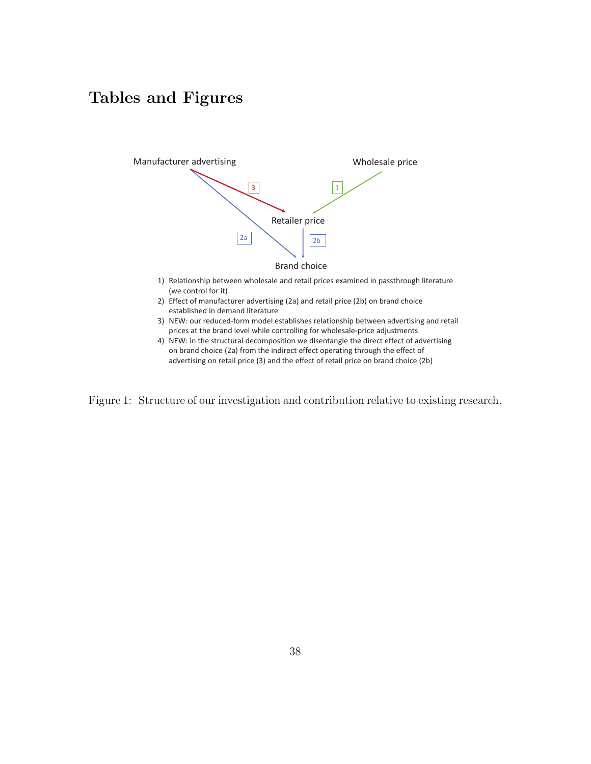# Tables and Figures



advertising on retail price (3) and the effect of retail price on brand choice (2b)

Figure 1: Structure of our investigation and contribution relative to existing research.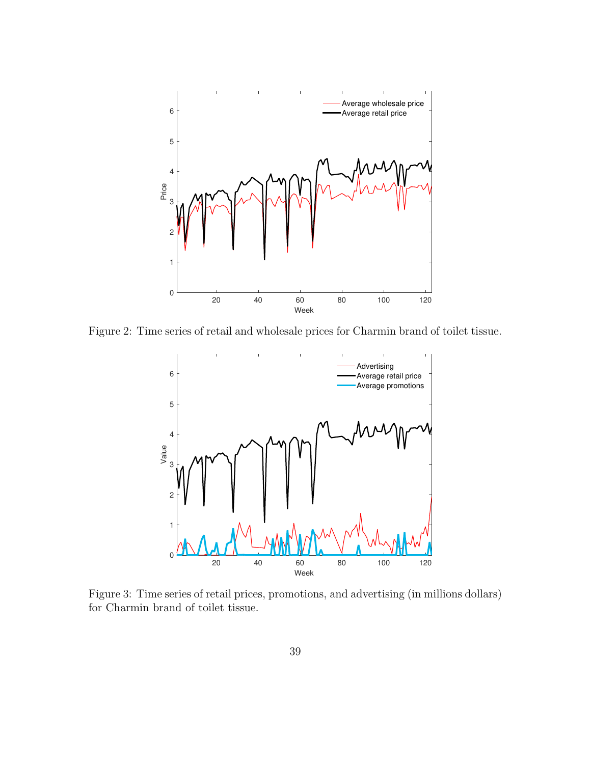

Figure 2: Time series of retail and wholesale prices for Charmin brand of toilet tissue.



Figure 3: Time series of retail prices, promotions, and advertising (in millions dollars) for Charmin brand of toilet tissue.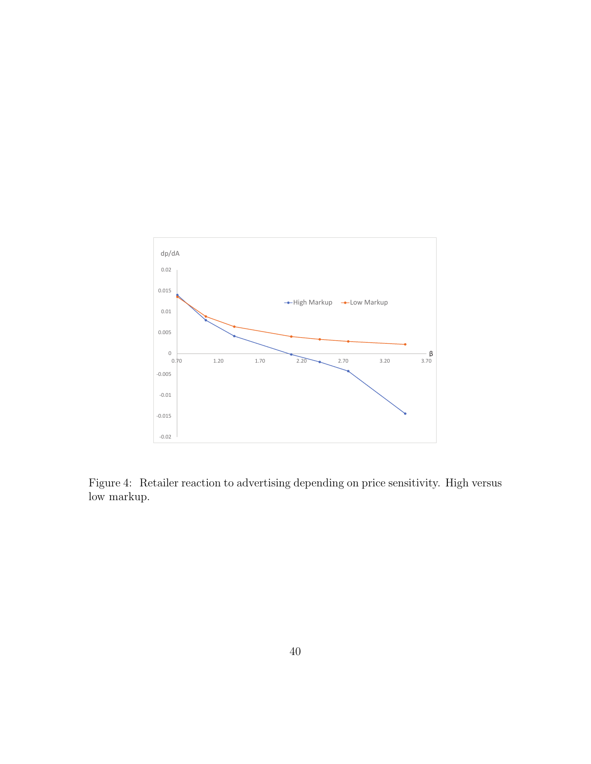

Figure 4: Retailer reaction to advertising depending on price sensitivity. High versus low markup.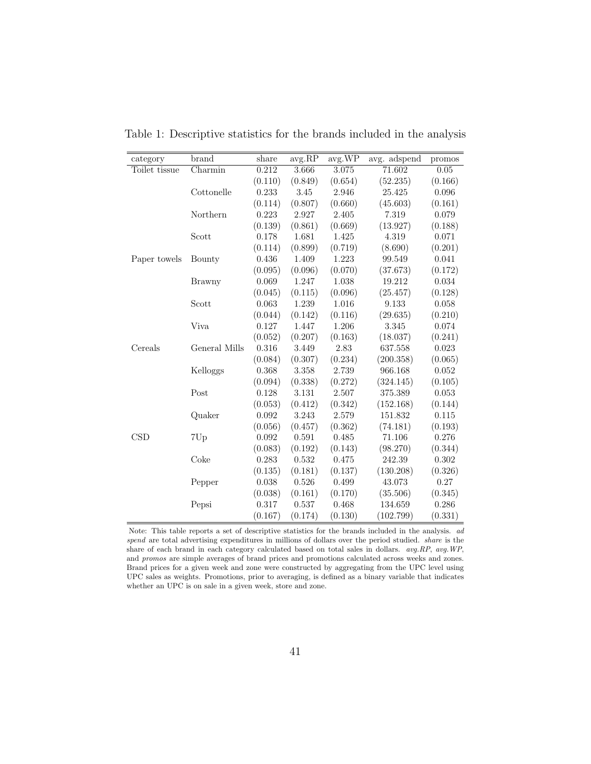| category      | brand                       | share   | avg.RP  | avg.WP  | avg. adspend | promos      |
|---------------|-----------------------------|---------|---------|---------|--------------|-------------|
| Toilet tissue | $\overline{\text{Charmin}}$ | 0.212   | 3.666   | 3.075   | 71.602       | 0.05        |
|               |                             | (0.110) | (0.849) | (0.654) | (52.235)     | (0.166)     |
|               | Cottonelle                  | 0.233   | 3.45    | 2.946   | 25.425       | 0.096       |
|               |                             | (0.114) | (0.807) | (0.660) | (45.603)     | (0.161)     |
|               | Northern                    | 0.223   | 2.927   | 2.405   | 7.319        | 0.079       |
|               |                             | (0.139) | (0.861) | (0.669) | (13.927)     | (0.188)     |
|               | Scott                       | 0.178   | 1.681   | 1.425   | 4.319        | 0.071       |
|               |                             | (0.114) | (0.899) | (0.719) | (8.690)      | (0.201)     |
| Paper towels  | Bounty                      | 0.436   | 1.409   | 1.223   | 99.549       | 0.041       |
|               |                             | (0.095) | (0.096) | (0.070) | (37.673)     | (0.172)     |
|               | Brawny                      | 0.069   | 1.247   | 1.038   | 19.212       | 0.034       |
|               |                             | (0.045) | (0.115) | (0.096) | (25.457)     | (0.128)     |
|               | Scott                       | 0.063   | 1.239   | 1.016   | 9.133        | 0.058       |
|               |                             | (0.044) | (0.142) | (0.116) | (29.635)     | (0.210)     |
|               | Viva                        | 0.127   | 1.447   | 1.206   | 3.345        | 0.074       |
|               |                             | (0.052) | (0.207) | (0.163) | (18.037)     | (0.241)     |
| Cereals       | General Mills               | 0.316   | 3.449   | 2.83    | 637.558      | 0.023       |
|               |                             | (0.084) | (0.307) | (0.234) | (200.358)    | (0.065)     |
|               | Kelloggs                    | 0.368   | 3.358   | 2.739   | 966.168      | $\,0.052\,$ |
|               |                             | (0.094) | (0.338) | (0.272) | (324.145)    | (0.105)     |
|               | Post                        | 0.128   | 3.131   | 2.507   | 375.389      | 0.053       |
|               |                             | (0.053) | (0.412) | (0.342) | (152.168)    | (0.144)     |
|               | Quaker                      | 0.092   | 3.243   | 2.579   | 151.832      | 0.115       |
|               |                             | (0.056) | (0.457) | (0.362) | (74.181)     | (0.193)     |
| CSD           | 7Up                         | 0.092   | 0.591   | 0.485   | 71.106       | 0.276       |
|               |                             | (0.083) | (0.192) | (0.143) | (98.270)     | (0.344)     |
|               | Coke                        | 0.283   | 0.532   | 0.475   | 242.39       | 0.302       |
|               |                             | (0.135) | (0.181) | (0.137) | (130.208)    | (0.326)     |
|               | Pepper                      | 0.038   | 0.526   | 0.499   | 43.073       | 0.27        |
|               |                             | (0.038) | (0.161) | (0.170) | (35.506)     | (0.345)     |
|               | Pepsi                       | 0.317   | 0.537   | 0.468   | 134.659      | 0.286       |
|               |                             | (0.167) | (0.174) | (0.130) | (102.799)    | (0.331)     |

Table 1: Descriptive statistics for the brands included in the analysis

Note: This table reports a set of descriptive statistics for the brands included in the analysis. ad spend are total advertising expenditures in millions of dollars over the period studied. *share* is the share of each brand in each category calculated based on total sales in dollars. avg.RP, avg.WP, and promos are simple averages of brand prices and promotions calculated across weeks and zones. Brand prices for a given week and zone were constructed by aggregating from the UPC level using UPC sales as weights. Promotions, prior to averaging, is defined as a binary variable that indicates whether an UPC is on sale in a given week, store and zone.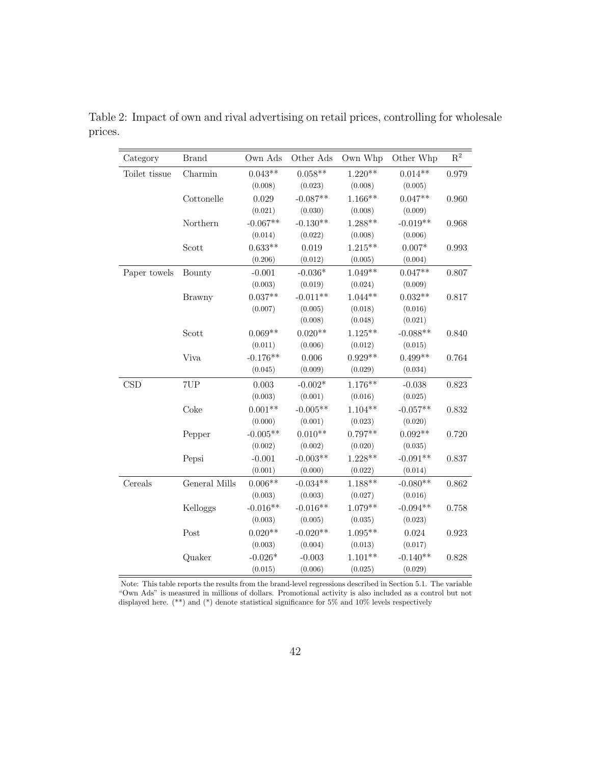| Category      | <b>Brand</b>  | Own Ads    | Other Ads  | Own Whp   | Other Whp  | $\mathbf{R}^2$ |
|---------------|---------------|------------|------------|-----------|------------|----------------|
| Toilet tissue | Charmin       | $0.043**$  | $0.058**$  | $1.220**$ | $0.014**$  | 0.979          |
|               |               | (0.008)    | (0.023)    | (0.008)   | (0.005)    |                |
|               | Cottonelle    | 0.029      | $-0.087**$ | $1.166**$ | $0.047**$  | 0.960          |
|               |               | (0.021)    | (0.030)    | (0.008)   | (0.009)    |                |
|               | Northern      | $-0.067**$ | $-0.130**$ | 1.288**   | $-0.019**$ | 0.968          |
|               |               | (0.014)    | (0.022)    | (0.008)   | (0.006)    |                |
|               | Scott         | $0.633**$  | 0.019      | $1.215**$ | $0.007*$   | 0.993          |
|               |               | (0.206)    | (0.012)    | (0.005)   | (0.004)    |                |
| Paper towels  | Bounty        | $-0.001$   | $-0.036*$  | $1.049**$ | $0.047**$  | 0.807          |
|               |               | (0.003)    | (0.019)    | (0.024)   | (0.009)    |                |
|               | <b>Brawny</b> | $0.037**$  | $-0.011**$ | $1.044**$ | $0.032**$  | 0.817          |
|               |               | (0.007)    | (0.005)    | (0.018)   | (0.016)    |                |
|               |               |            | (0.008)    | (0.048)   | (0.021)    |                |
|               | Scott         | $0.069**$  | $0.020**$  | $1.125**$ | $-0.088**$ | 0.840          |
|               |               | (0.011)    | (0.006)    | (0.012)   | (0.015)    |                |
|               | <b>Viva</b>   | $-0.176**$ | 0.006      | $0.929**$ | $0.499**$  | 0.764          |
|               |               | (0.045)    | (0.009)    | (0.029)   | (0.034)    |                |
| CSD           | 7UP           | 0.003      | $-0.002*$  | $1.176**$ | $-0.038$   | 0.823          |
|               |               | (0.003)    | (0.001)    | (0.016)   | (0.025)    |                |
|               | Coke          | $0.001**$  | $-0.005**$ | $1.104**$ | $-0.057**$ | 0.832          |
|               |               | (0.000)    | (0.001)    | (0.023)   | (0.020)    |                |
|               | Pepper        | $-0.005**$ | $0.010**$  | $0.797**$ | $0.092**$  | 0.720          |
|               |               | (0.002)    | (0.002)    | (0.020)   | (0.035)    |                |
|               | Pepsi         | $-0.001$   | $-0.003**$ | $1.228**$ | $-0.091**$ | 0.837          |
|               |               | (0.001)    | (0.000)    | (0.022)   | (0.014)    |                |
| Cereals       | General Mills | $0.006**$  | $-0.034**$ | $1.188**$ | $-0.080**$ | 0.862          |
|               |               | (0.003)    | (0.003)    | (0.027)   | (0.016)    |                |
|               | Kelloggs      | $-0.016**$ | $-0.016**$ | $1.079**$ | $-0.094**$ | 0.758          |
|               |               | (0.003)    | (0.005)    | (0.035)   | (0.023)    |                |
|               | Post          | $0.020**$  | $-0.020**$ | $1.095**$ | 0.024      | 0.923          |
|               |               | (0.003)    | (0.004)    | (0.013)   | (0.017)    |                |
|               | Quaker        | $-0.026*$  | $-0.003$   | $1.101**$ | $-0.140**$ | 0.828          |
|               |               | (0.015)    | (0.006)    | (0.025)   | (0.029)    |                |

Table 2: Impact of own and rival advertising on retail prices, controlling for wholesale prices.

Note: This table reports the results from the brand-level regressions described in Section 5.1. The variable "Own Ads" is measured in millions of dollars. Promotional activity is also included as a control but not displayed here. (\*\*) and (\*) denote statistical significance for 5% and 10% levels respectively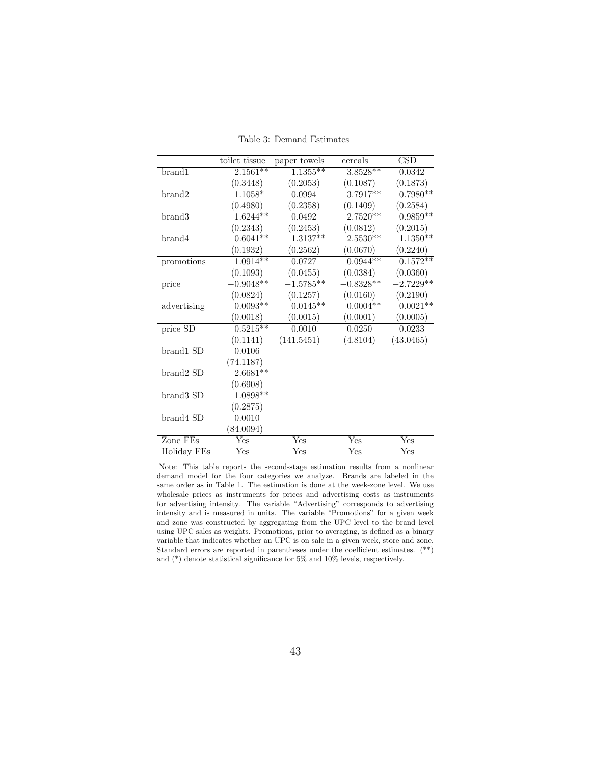|                       | toilet tissue | paper towels | cereals     | $\mathrm{CSD}$ |
|-----------------------|---------------|--------------|-------------|----------------|
| brand1                | $2.1561**$    | $1.1355***$  | $3.8528**$  | 0.0342         |
|                       | (0.3448)      | (0.2053)     | (0.1087)    | (0.1873)       |
| brand2                | $1.1058*$     | 0.0994       | 3.7917**    | $0.7980**$     |
|                       | (0.4980)      | (0.2358)     | (0.1409)    | (0.2584)       |
| brand3                | $1.6244**$    | 0.0492       | 2.7520**    | $-0.9859**$    |
|                       | (0.2343)      | (0.2453)     | (0.0812)    | (0.2015)       |
| brand4                | $0.6041**$    | $1.3137**$   | $2.5530**$  | $1.1350**$     |
|                       | (0.1932)      | (0.2562)     | (0.0670)    | (0.2240)       |
| promotions            | $1.0914**$    | $-0.0727$    | $0.0944**$  | $0.1572**$     |
|                       | (0.1093)      | (0.0455)     | (0.0384)    | (0.0360)       |
| price                 | $-0.9048**$   | $-1.5785**$  | $-0.8328**$ | $-2.7229**$    |
|                       | (0.0824)      | (0.1257)     | (0.0160)    | (0.2190)       |
| advertising           | $0.0093**$    | $0.0145**$   | $0.0004**$  | $0.0021**$     |
|                       | (0.0018)      | (0.0015)     | (0.0001)    | (0.0005)       |
| price $S\overline{D}$ | $0.5215***$   | 0.0010       | 0.0250      | 0.0233         |
|                       | (0.1141)      | (141.5451)   | (4.8104)    | (43.0465)      |
| brand1 SD             | 0.0106        |              |             |                |
|                       | (74.1187)     |              |             |                |
| brand2 SD             | $2.6681**$    |              |             |                |
|                       | (0.6908)      |              |             |                |
| brand3 SD             | 1.0898**      |              |             |                |
|                       | (0.2875)      |              |             |                |
| brand4 SD             | 0.0010        |              |             |                |
|                       | (84.0094)     |              |             |                |
| Zone FEs              | Yes           | Yes          | Yes         | Yes            |
| Holiday FEs           | Yes           | Yes          | Yes         | Yes            |

Table 3: Demand Estimates

Note: This table reports the second-stage estimation results from a nonlinear demand model for the four categories we analyze. Brands are labeled in the same order as in Table 1. The estimation is done at the week-zone level. We use wholesale prices as instruments for prices and advertising costs as instruments for advertising intensity. The variable "Advertising" corresponds to advertising intensity and is measured in units. The variable "Promotions" for a given week and zone was constructed by aggregating from the UPC level to the brand level using UPC sales as weights. Promotions, prior to averaging, is defined as a binary variable that indicates whether an UPC is on sale in a given week, store and zone. Standard errors are reported in parentheses under the coefficient estimates. (\*\*) and (\*) denote statistical significance for 5% and 10% levels, respectively.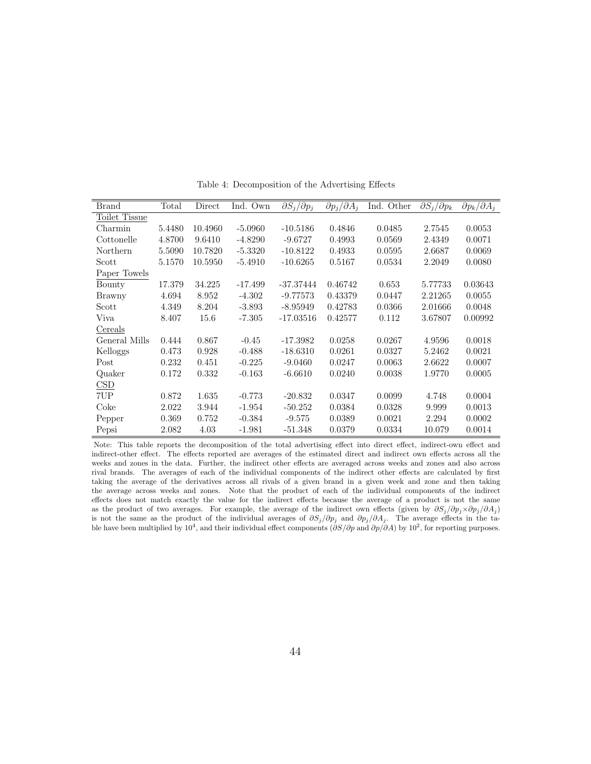| <b>Brand</b>  | Total  | Direct  | Ind. Own  | $\partial S_i/\partial p_i$ | $\partial p_j/\partial A_i$ | Ind.<br>Other | $\partial S_i/\partial p_k$ | $\partial p_k/\partial A_j$ |
|---------------|--------|---------|-----------|-----------------------------|-----------------------------|---------------|-----------------------------|-----------------------------|
| Toilet Tissue |        |         |           |                             |                             |               |                             |                             |
| Charmin       | 5.4480 | 10.4960 | $-5.0960$ | $-10.5186$                  | 0.4846                      | 0.0485        | 2.7545                      | 0.0053                      |
| Cottonelle    | 4.8700 | 9.6410  | $-4.8290$ | $-9.6727$                   | 0.4993                      | 0.0569        | 2.4349                      | 0.0071                      |
| Northern      | 5.5090 | 10.7820 | $-5.3320$ | $-10.8122$                  | 0.4933                      | 0.0595        | 2.6687                      | 0.0069                      |
| Scott         | 5.1570 | 10.5950 | $-5.4910$ | $-10.6265$                  | 0.5167                      | 0.0534        | 2.2049                      | 0.0080                      |
| Paper Towels  |        |         |           |                             |                             |               |                             |                             |
| Bounty        | 17.379 | 34.225  | $-17.499$ | $-37.37444$                 | 0.46742                     | 0.653         | 5.77733                     | 0.03643                     |
| Brawny        | 4.694  | 8.952   | $-4.302$  | $-9.77573$                  | 0.43379                     | 0.0447        | 2.21265                     | 0.0055                      |
| Scott         | 4.349  | 8.204   | $-3.893$  | $-8.95949$                  | 0.42783                     | 0.0366        | 2.01666                     | 0.0048                      |
| Viva          | 8.407  | 15.6    | $-7.305$  | $-17.03516$                 | 0.42577                     | 0.112         | 3.67807                     | 0.00992                     |
| Cereals       |        |         |           |                             |                             |               |                             |                             |
| General Mills | 0.444  | 0.867   | $-0.45$   | $-17.3982$                  | 0.0258                      | 0.0267        | 4.9596                      | 0.0018                      |
| Kelloggs      | 0.473  | 0.928   | $-0.488$  | $-18.6310$                  | 0.0261                      | 0.0327        | 5.2462                      | 0.0021                      |
| Post          | 0.232  | 0.451   | $-0.225$  | $-9.0460$                   | 0.0247                      | 0.0063        | 2.6622                      | 0.0007                      |
| Quaker        | 0.172  | 0.332   | $-0.163$  | $-6.6610$                   | 0.0240                      | 0.0038        | 1.9770                      | 0.0005                      |
| $_{\rm CSD}$  |        |         |           |                             |                             |               |                             |                             |
| 7UP           | 0.872  | 1.635   | $-0.773$  | $-20.832$                   | 0.0347                      | 0.0099        | 4.748                       | 0.0004                      |
| Coke          | 2.022  | 3.944   | $-1.954$  | $-50.252$                   | 0.0384                      | 0.0328        | 9.999                       | 0.0013                      |
| Pepper        | 0.369  | 0.752   | $-0.384$  | $-9.575$                    | 0.0389                      | 0.0021        | 2.294                       | 0.0002                      |
| Pepsi         | 2.082  | 4.03    | $-1.981$  | $-51.348$                   | 0.0379                      | 0.0334        | 10.079                      | 0.0014                      |

Table 4: Decomposition of the Advertising Effects

Note: This table reports the decomposition of the total advertising effect into direct effect, indirect-own effect and indirect-other effect. The effects reported are averages of the estimated direct and indirect own effects across all the weeks and zones in the data. Further, the indirect other effects are averaged across weeks and zones and also across rival brands. The averages of each of the individual components of the indirect other effects are calculated by first taking the average of the derivatives across all rivals of a given brand in a given week and zone and then taking the average across weeks and zones. Note that the product of each of the individual components of the indirect effects does not match exactly the value for the indirect effects because the average of a product is not the same as the product of two averages. For example, the average of the indirect own effects (given by  $\frac{\partial S_j}{\partial p_j \times \partial p_j}{\partial A_j}$ ) is not the same as the product of the individual averages of  $\partial S_j/\partial p_j$  and  $\partial p_j/\partial A_j$ . The average effects in the table have been multiplied by 10<sup>4</sup>, and their individual effect components ( $\partial S/\partial p$  and  $\partial p/\partial A$ ) by 10<sup>2</sup>, for reporting purposes.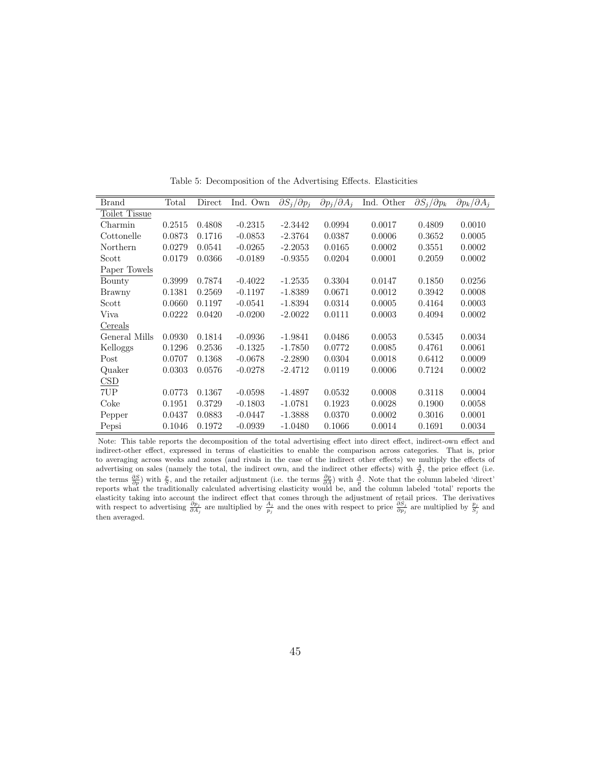| <b>Brand</b>         | Total  | Direct | Ind. Own  | $\partial S_i/\partial p_i$ | $\partial p_i/\partial A_i$ | Ind. Other | $\partial S_i/\partial p_k$ | $\partial p_k / \partial A_i$ |
|----------------------|--------|--------|-----------|-----------------------------|-----------------------------|------------|-----------------------------|-------------------------------|
| <b>Toilet Tissue</b> |        |        |           |                             |                             |            |                             |                               |
| Charmin              | 0.2515 | 0.4808 | $-0.2315$ | $-2.3442$                   | 0.0994                      | 0.0017     | 0.4809                      | 0.0010                        |
| Cottonelle           | 0.0873 | 0.1716 | $-0.0853$ | $-2.3764$                   | 0.0387                      | 0.0006     | 0.3652                      | 0.0005                        |
| Northern             | 0.0279 | 0.0541 | $-0.0265$ | $-2.2053$                   | 0.0165                      | 0.0002     | 0.3551                      | 0.0002                        |
| Scott                | 0.0179 | 0.0366 | $-0.0189$ | $-0.9355$                   | 0.0204                      | 0.0001     | 0.2059                      | 0.0002                        |
| Paper Towels         |        |        |           |                             |                             |            |                             |                               |
| Bounty               | 0.3999 | 0.7874 | $-0.4022$ | $-1.2535$                   | 0.3304                      | 0.0147     | 0.1850                      | 0.0256                        |
| Brawny               | 0.1381 | 0.2569 | $-0.1197$ | $-1.8389$                   | 0.0671                      | 0.0012     | 0.3942                      | 0.0008                        |
| Scott                | 0.0660 | 0.1197 | $-0.0541$ | $-1.8394$                   | 0.0314                      | 0.0005     | 0.4164                      | 0.0003                        |
| Viva                 | 0.0222 | 0.0420 | $-0.0200$ | $-2.0022$                   | 0.0111                      | 0.0003     | 0.4094                      | 0.0002                        |
| Cereals              |        |        |           |                             |                             |            |                             |                               |
| General Mills        | 0.0930 | 0.1814 | $-0.0936$ | $-1.9841$                   | 0.0486                      | 0.0053     | 0.5345                      | 0.0034                        |
| Kelloggs             | 0.1296 | 0.2536 | $-0.1325$ | $-1.7850$                   | 0.0772                      | 0.0085     | 0.4761                      | 0.0061                        |
| Post                 | 0.0707 | 0.1368 | $-0.0678$ | $-2.2890$                   | 0.0304                      | 0.0018     | 0.6412                      | 0.0009                        |
| Quaker               | 0.0303 | 0.0576 | $-0.0278$ | $-2.4712$                   | 0.0119                      | 0.0006     | 0.7124                      | 0.0002                        |
| $_{\rm CSD}$         |        |        |           |                             |                             |            |                             |                               |
| 7UP                  | 0.0773 | 0.1367 | $-0.0598$ | $-1.4897$                   | 0.0532                      | 0.0008     | 0.3118                      | 0.0004                        |
| Coke                 | 0.1951 | 0.3729 | $-0.1803$ | $-1.0781$                   | 0.1923                      | 0.0028     | 0.1900                      | 0.0058                        |
| Pepper               | 0.0437 | 0.0883 | $-0.0447$ | $-1.3888$                   | 0.0370                      | 0.0002     | 0.3016                      | 0.0001                        |
| Pepsi                | 0.1046 | 0.1972 | $-0.0939$ | $-1.0480$                   | 0.1066                      | 0.0014     | 0.1691                      | 0.0034                        |

Table 5: Decomposition of the Advertising Effects. Elasticities

Note: This table reports the decomposition of the total advertising effect into direct effect, indirect-own effect and indirect-other effect, expressed in terms of elasticities to enable the comparison across categories. That is, prior to averaging across weeks and zones (and rivals in the case of the indirect other effects) we multiply the effects of advertising on sales (namely the total, the indirect own, and the indirect other effects) with  $\frac{A}{S}$ , the price effect (i.e. the terms  $\frac{\partial S}{\partial p}$  with  $\frac{p}{S}$ , and the retailer adjustment (i.e. the terms  $\frac{\partial p}{\partial A}$ ) with  $\frac{A}{p}$ . Note that the column labeled 'direct' reports what the traditionally calculated advertising elasticity would be, and the column labeled 'total' reports the elasticity taking into account the indirect effect that comes through the adjustment of retail prices. The derivatives with respect to advertising  $\frac{\partial p_j}{\partial A_j}$  are multiplied by  $\frac{A_j}{p_j}$  and the ones with respect to price  $\frac{\partial S_j}{\partial p_j}$  are multiplied by  $\frac{p_j}{S_j}$  and then averaged.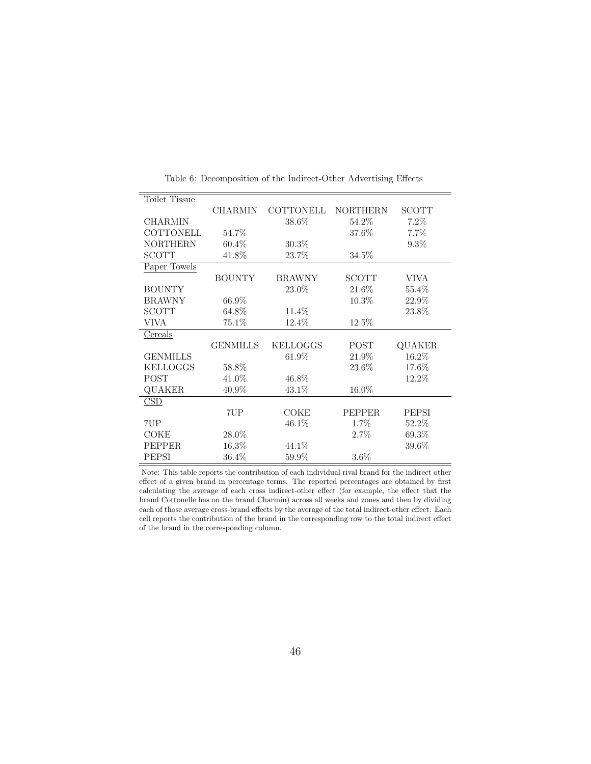| Toilet Tissue    |                 |                  |                 |               |
|------------------|-----------------|------------------|-----------------|---------------|
|                  | <b>CHARMIN</b>  | <b>COTTONELL</b> | <b>NORTHERN</b> | <b>SCOTT</b>  |
| <b>CHARMIN</b>   |                 | 38.6%            | 54.2%           | $7.2\%$       |
| <b>COTTONELL</b> | 54.7%           |                  | 37.6%           | 7.7%          |
| <b>NORTHERN</b>  | $60.4\%$        | $30.3\%$         |                 | $9.3\%$       |
| SCOTT            | 41.8%           | 23.7%            | 34.5%           |               |
| Paper Towels     |                 |                  |                 |               |
|                  | <b>BOUNTY</b>   | <b>BRAWNY</b>    | <b>SCOTT</b>    | <b>VIVA</b>   |
| <b>BOUNTY</b>    |                 | 23.0%            | 21.6%           | $55.4\%$      |
| <b>BRAWNY</b>    | 66.9%           |                  | $10.3\%$        | 22.9%         |
| <b>SCOTT</b>     | $64.8\%$        | 11.4%            |                 | 23.8%         |
| VIVA             | 75.1\%          | 12.4%            | 12.5%           |               |
| Cereals          |                 |                  |                 |               |
|                  | <b>GENMILLS</b> | <b>KELLOGGS</b>  | POST            | <b>QUAKER</b> |
| <b>GENMILLS</b>  |                 | $61.9\%$         | 21.9%           | 16.2%         |
| <b>KELLOGGS</b>  | 58.8%           |                  | 23.6%           | 17.6%         |
| <b>POST</b>      | 41.0%           | 46.8%            |                 | 12.2%         |
| QUAKER           | 40.9%           | 43.1\%           | 16.0%           |               |
| CSD              |                 |                  |                 |               |
|                  | 7UP             | COKE             | <b>PEPPER</b>   | PEPSI         |
| 7UP              |                 | 46.1%            | 1.7%            | 52.2%         |
| COKE             | 28.0%           |                  | $2.7\%$         | 69.3%         |
| <b>PEPPER</b>    | 16.3%           | 44.1%            |                 | $39.6\%$      |
| PEPSI            | $36.4\%$        | 59.9%            | $3.6\%$         |               |

Table 6: Decomposition of the Indirect-Other Advertising Effects

Note: This table reports the contribution of each individual rival brand for the indirect other effect of a given brand in percentage terms. The reported percentages are obtained by first calculating the average of each cross indirect-other effect (for example, the effect that the brand Cottonelle has on the brand Charmin) across all weeks and zones and then by dividing each of those average cross-brand effects by the average of the total indirect-other effect. Each cell reports the contribution of the brand in the corresponding row to the total indirect effect of the brand in the corresponding column.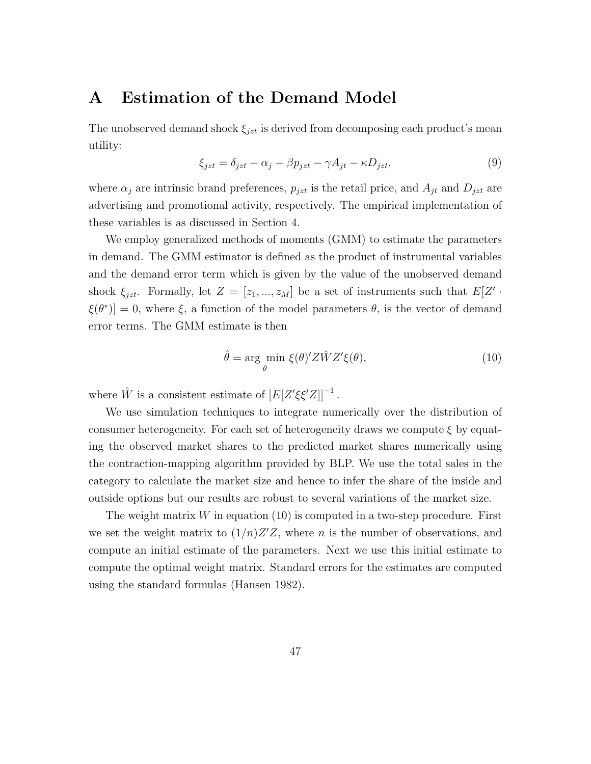#### A Estimation of the Demand Model

The unobserved demand shock  $\xi_{jzt}$  is derived from decomposing each product's mean utility:

$$
\xi_{jzt} = \delta_{jzt} - \alpha_j - \beta p_{jzt} - \gamma A_{jt} - \kappa D_{jzt},\tag{9}
$$

where  $\alpha_j$  are intrinsic brand preferences,  $p_{jzt}$  is the retail price, and  $A_{jt}$  and  $D_{jzt}$  are advertising and promotional activity, respectively. The empirical implementation of these variables is as discussed in Section 4.

We employ generalized methods of moments (GMM) to estimate the parameters in demand. The GMM estimator is defined as the product of instrumental variables and the demand error term which is given by the value of the unobserved demand shock  $\xi_{jzt}$ . Formally, let  $Z = [z_1, ..., z_M]$  be a set of instruments such that  $E[Z']$ .  $\xi(\theta^*)$  = 0, where  $\xi$ , a function of the model parameters  $\theta$ , is the vector of demand error terms. The GMM estimate is then

$$
\hat{\theta} = \underset{\theta}{\text{arg min }} \xi(\theta)' Z \hat{W} Z' \xi(\theta), \tag{10}
$$

where  $\hat{W}$  is a consistent estimate of  $[E[Z'\xi\xi'Z]]^{-1}$ .

We use simulation techniques to integrate numerically over the distribution of consumer heterogeneity. For each set of heterogeneity draws we compute  $\xi$  by equating the observed market shares to the predicted market shares numerically using the contraction-mapping algorithm provided by BLP. We use the total sales in the category to calculate the market size and hence to infer the share of the inside and outside options but our results are robust to several variations of the market size.

The weight matrix  $W$  in equation (10) is computed in a two-step procedure. First we set the weight matrix to  $(1/n)Z'Z$ , where n is the number of observations, and compute an initial estimate of the parameters. Next we use this initial estimate to compute the optimal weight matrix. Standard errors for the estimates are computed using the standard formulas (Hansen 1982).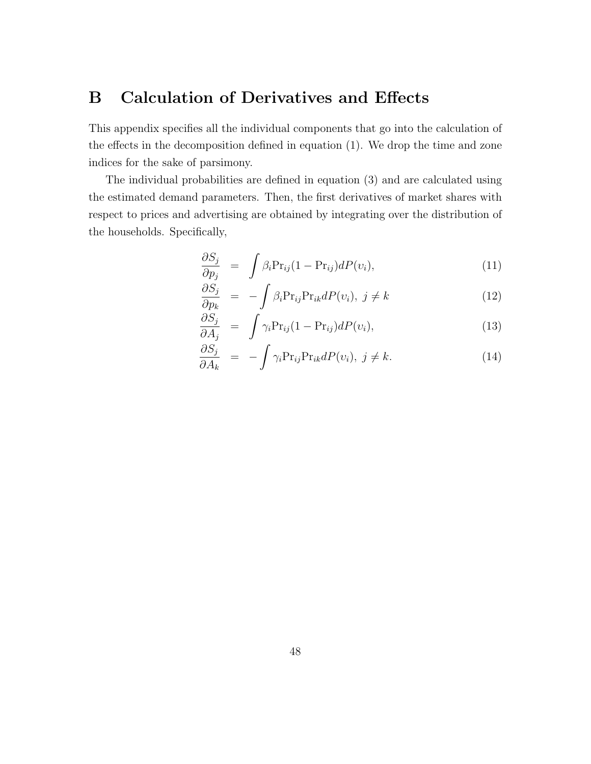## B Calculation of Derivatives and Effects

This appendix specifies all the individual components that go into the calculation of the effects in the decomposition defined in equation (1). We drop the time and zone indices for the sake of parsimony.

The individual probabilities are defined in equation (3) and are calculated using the estimated demand parameters. Then, the first derivatives of market shares with respect to prices and advertising are obtained by integrating over the distribution of the households. Specifically,

$$
\frac{\partial S_j}{\partial p_j} = \int \beta_i \Pr_{ij} (1 - \Pr_{ij}) dP(v_i), \qquad (11)
$$

$$
\frac{\partial S_j}{\partial p_k} = -\int \beta_i \Pr_{ij} \Pr_{ik} dP(v_i), \ j \neq k \tag{12}
$$

$$
\frac{\partial S_j}{\partial A_j} = \int \gamma_i \Pr_{ij} (1 - \Pr_{ij}) dP(v_i), \qquad (13)
$$

$$
\frac{\partial S_j}{\partial A_k} = -\int \gamma_i \Pr_{ij} \Pr_{ik} dP(v_i), \ j \neq k. \tag{14}
$$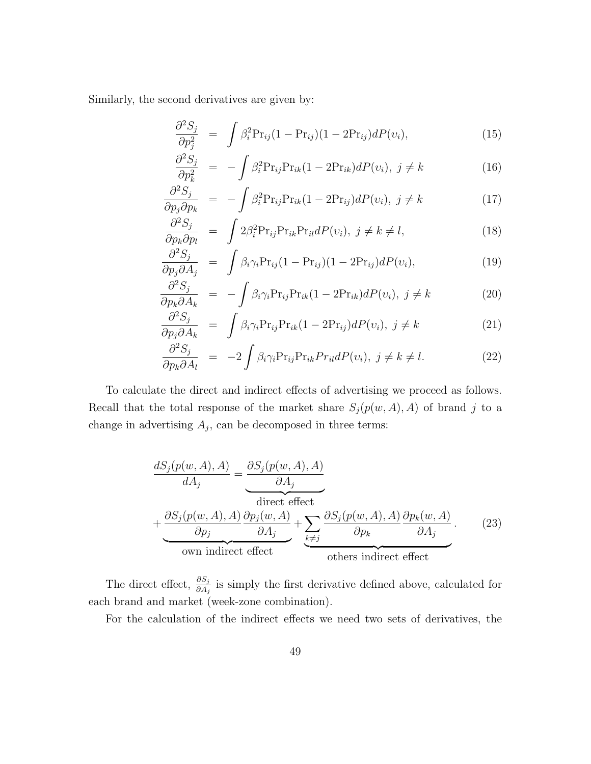Similarly, the second derivatives are given by:

$$
\frac{\partial^2 S_j}{\partial p_j^2} = \int \beta_i^2 \Pr_{ij} (1 - \Pr_{ij}) (1 - 2\Pr_{ij}) dP(v_i), \qquad (15)
$$

$$
\frac{\partial^2 S_j}{\partial p_k^2} = -\int \beta_i^2 \Pr_{ij} \Pr_{ik} (1 - 2\Pr_{ik}) dP(v_i), \ j \neq k \tag{16}
$$

$$
\frac{\partial^2 S_j}{\partial p_j \partial p_k} = -\int \beta_i^2 \Pr_{ij} \Pr_{ik} (1 - 2\Pr_{ij}) dP(v_i), \ j \neq k \tag{17}
$$

$$
\frac{\partial^2 S_j}{\partial p_k \partial p_l} = \int 2\beta_i^2 \Pr_{ij} \Pr_{ik} \Pr_{il} dP(v_i), \ j \neq k \neq l,
$$
\n(18)

$$
\frac{\partial^2 S_j}{\partial p_j \partial A_j} = \int \beta_i \gamma_i \Pr_{ij} (1 - \Pr_{ij}) (1 - 2\Pr_{ij}) dP(v_i), \qquad (19)
$$

$$
\frac{\partial^2 S_j}{\partial p_k \partial A_k} = -\int \beta_i \gamma_i \Pr_{ij} \Pr_{ik} (1 - 2\Pr_{ik}) dP(v_i), \ j \neq k \tag{20}
$$

$$
\frac{\partial^2 S_j}{\partial p_j \partial A_k} = \int \beta_i \gamma_i \Pr_{ij} \Pr_{ik} (1 - 2\Pr_{ij}) dP(v_i), \ j \neq k \tag{21}
$$

$$
\frac{\partial^2 S_j}{\partial p_k \partial A_l} = -2 \int \beta_i \gamma_i \Pr_{ij} \Pr_{ik} Pr_{il} dP(v_i), \ j \neq k \neq l. \tag{22}
$$

To calculate the direct and indirect effects of advertising we proceed as follows. Recall that the total response of the market share  $S_j(p(w, A), A)$  of brand j to a change in advertising  $A_j$ , can be decomposed in three terms:

$$
\frac{dS_j(p(w, A), A)}{dA_j} = \underbrace{\frac{\partial S_j(p(w, A), A)}{\partial A_j}}_{\text{direct effect}}
$$
\n
$$
+ \underbrace{\frac{\partial S_j(p(w, A), A)}{\partial p_j} \frac{\partial p_j(w, A)}{\partial A_j}}_{\text{own indirect effect}} + \underbrace{\sum_{k \neq j} \frac{\partial S_j(p(w, A), A)}{\partial p_k} \frac{\partial p_k(w, A)}{\partial A_j}}_{\text{others indirect effect}}.
$$
\n(23)

The direct effect,  $\frac{\partial S_j}{\partial A_j}$  is simply the first derivative defined above, calculated for each brand and market (week-zone combination).

For the calculation of the indirect effects we need two sets of derivatives, the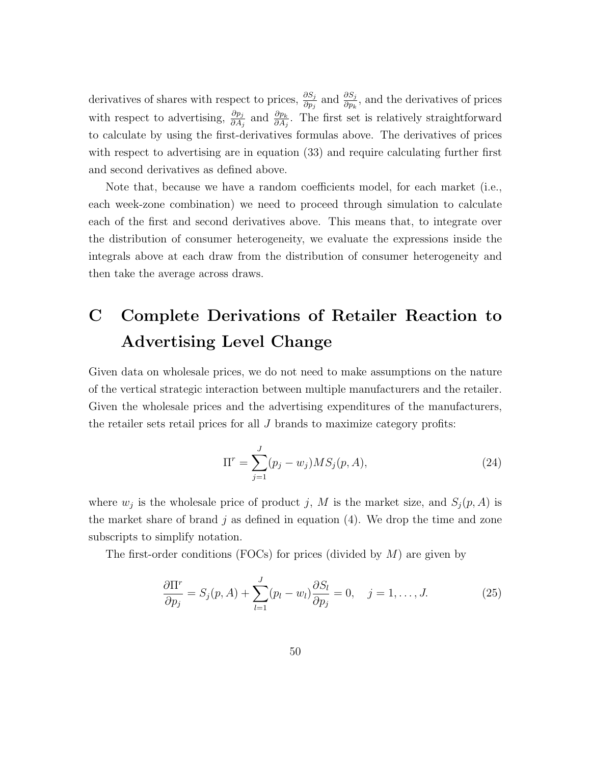derivatives of shares with respect to prices,  $\frac{\partial S_j}{\partial p_j}$  and  $\frac{\partial S_j}{\partial p_k}$ , and the derivatives of prices with respect to advertising,  $\frac{\partial p_j}{\partial A_j}$  and  $\frac{\partial p_k}{\partial A_j}$ . The first set is relatively straightforward to calculate by using the first-derivatives formulas above. The derivatives of prices with respect to advertising are in equation (33) and require calculating further first and second derivatives as defined above.

Note that, because we have a random coefficients model, for each market (i.e., each week-zone combination) we need to proceed through simulation to calculate each of the first and second derivatives above. This means that, to integrate over the distribution of consumer heterogeneity, we evaluate the expressions inside the integrals above at each draw from the distribution of consumer heterogeneity and then take the average across draws.

# C Complete Derivations of Retailer Reaction to Advertising Level Change

Given data on wholesale prices, we do not need to make assumptions on the nature of the vertical strategic interaction between multiple manufacturers and the retailer. Given the wholesale prices and the advertising expenditures of the manufacturers, the retailer sets retail prices for all  $J$  brands to maximize category profits:

$$
\Pi^r = \sum_{j=1}^{J} (p_j - w_j) MS_j(p, A), \qquad (24)
$$

where  $w_j$  is the wholesale price of product j, M is the market size, and  $S_j(p, A)$  is the market share of brand  $j$  as defined in equation (4). We drop the time and zone subscripts to simplify notation.

The first-order conditions (FOCs) for prices (divided by  $M$ ) are given by

$$
\frac{\partial \Pi^r}{\partial p_j} = S_j(p, A) + \sum_{l=1}^J (p_l - w_l) \frac{\partial S_l}{\partial p_j} = 0, \quad j = 1, \dots, J. \tag{25}
$$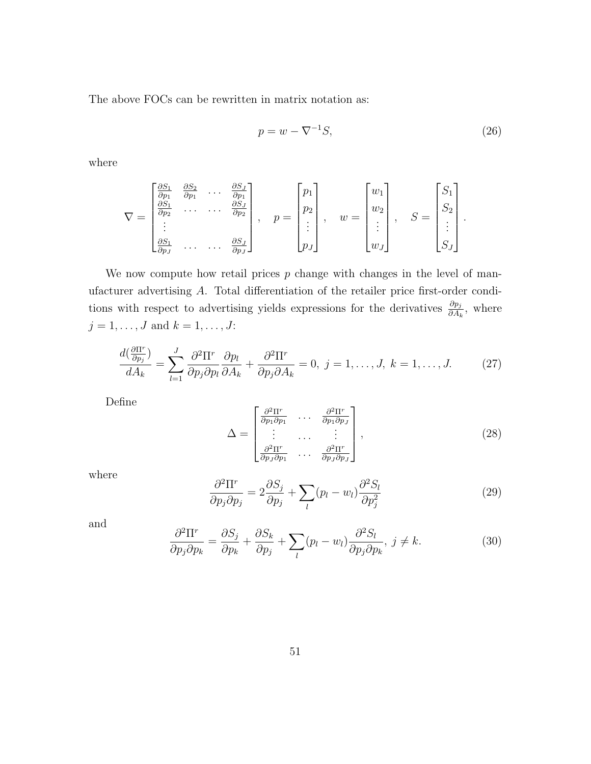The above FOCs can be rewritten in matrix notation as:

$$
p = w - \nabla^{-1} S,\tag{26}
$$

where

$$
\nabla = \begin{bmatrix} \frac{\partial S_1}{\partial p_1} & \frac{\partial S_2}{\partial p_1} & \cdots & \frac{\partial S_J}{\partial p_1} \\ \frac{\partial S_1}{\partial p_2} & \cdots & \cdots & \frac{\partial S_J}{\partial p_2} \\ \vdots & & & & \\ \frac{\partial S_1}{\partial p_J} & \cdots & \cdots & \frac{\partial S_J}{\partial p_J} \end{bmatrix}, \quad p = \begin{bmatrix} p_1 \\ p_2 \\ \vdots \\ p_J \end{bmatrix}, \quad w = \begin{bmatrix} w_1 \\ w_2 \\ \vdots \\ w_J \end{bmatrix}, \quad S = \begin{bmatrix} S_1 \\ S_2 \\ \vdots \\ S_J \end{bmatrix}.
$$

We now compute how retail prices  $p$  change with changes in the level of manufacturer advertising A. Total differentiation of the retailer price first-order conditions with respect to advertising yields expressions for the derivatives  $\frac{\partial p_j}{\partial A_k}$ , where  $j = 1, \ldots, J$  and  $k = 1, \ldots, J$ :

$$
\frac{d(\frac{\partial \Pi^r}{\partial p_j})}{dA_k} = \sum_{l=1}^J \frac{\partial^2 \Pi^r}{\partial p_j \partial p_l} \frac{\partial p_l}{\partial A_k} + \frac{\partial^2 \Pi^r}{\partial p_j \partial A_k} = 0, \ j = 1, \dots, J, \ k = 1, \dots, J.
$$
 (27)

Define

$$
\Delta = \begin{bmatrix} \frac{\partial^2 \Pi^r}{\partial p_1 \partial p_1} & \cdots & \frac{\partial^2 \Pi^r}{\partial p_1 \partial p_J} \\ \vdots & \cdots & \vdots \\ \frac{\partial^2 \Pi^r}{\partial p_J \partial p_1} & \cdots & \frac{\partial^2 \Pi^r}{\partial p_J \partial p_J} \end{bmatrix},
$$
(28)

where

$$
\frac{\partial^2 \Pi^r}{\partial p_j \partial p_j} = 2 \frac{\partial S_j}{\partial p_j} + \sum_l (p_l - w_l) \frac{\partial^2 S_l}{\partial p_j^2}
$$
(29)

and

$$
\frac{\partial^2 \Pi^r}{\partial p_j \partial p_k} = \frac{\partial S_j}{\partial p_k} + \frac{\partial S_k}{\partial p_j} + \sum_l (p_l - w_l) \frac{\partial^2 S_l}{\partial p_j \partial p_k}, \ j \neq k. \tag{30}
$$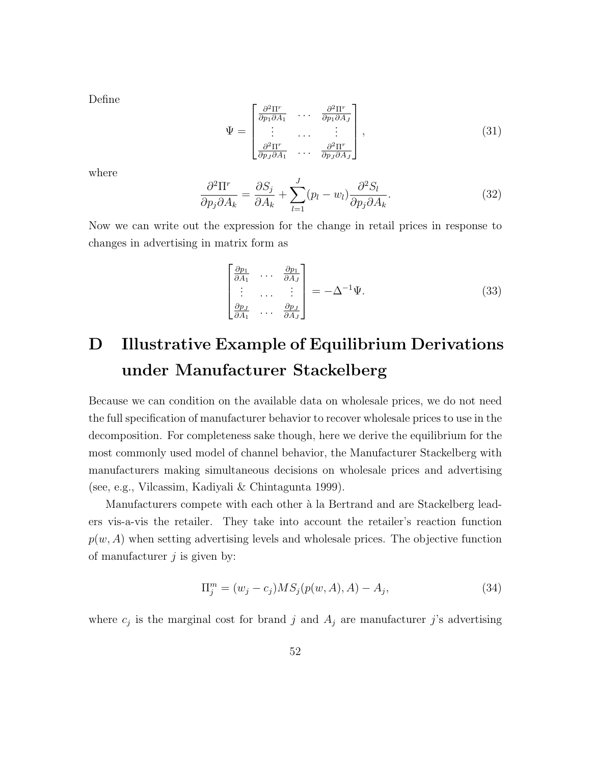Define

$$
\Psi = \begin{bmatrix} \frac{\partial^2 \Pi^r}{\partial p_1 \partial A_1} & \cdots & \frac{\partial^2 \Pi^r}{\partial p_1 \partial A_J} \\ \vdots & \cdots & \vdots \\ \frac{\partial^2 \Pi^r}{\partial p_J \partial A_1} & \cdots & \frac{\partial^2 \Pi^r}{\partial p_J \partial A_J} \end{bmatrix},
$$
\n(31)

where

$$
\frac{\partial^2 \Pi^r}{\partial p_j \partial A_k} = \frac{\partial S_j}{\partial A_k} + \sum_{l=1}^J (p_l - w_l) \frac{\partial^2 S_l}{\partial p_j \partial A_k}.
$$
\n(32)

Now we can write out the expression for the change in retail prices in response to changes in advertising in matrix form as

$$
\begin{bmatrix}\n\frac{\partial p_1}{\partial A_1} & \cdots & \frac{\partial p_1}{\partial A_J} \\
\vdots & \cdots & \vdots \\
\frac{\partial p_J}{\partial A_1} & \cdots & \frac{\partial p_J}{\partial A_J}\n\end{bmatrix} = -\Delta^{-1} \Psi.
$$
\n(33)

# D Illustrative Example of Equilibrium Derivations under Manufacturer Stackelberg

Because we can condition on the available data on wholesale prices, we do not need the full specification of manufacturer behavior to recover wholesale prices to use in the decomposition. For completeness sake though, here we derive the equilibrium for the most commonly used model of channel behavior, the Manufacturer Stackelberg with manufacturers making simultaneous decisions on wholesale prices and advertising (see, e.g., Vilcassim, Kadiyali & Chintagunta 1999).

Manufacturers compete with each other à la Bertrand and are Stackelberg leaders vis-a-vis the retailer. They take into account the retailer's reaction function  $p(w, A)$  when setting advertising levels and wholesale prices. The objective function of manufacturer  $j$  is given by:

$$
\Pi_j^m = (w_j - c_j) MS_j(p(w, A), A) - A_j,
$$
\n(34)

where  $c_j$  is the marginal cost for brand j and  $A_j$  are manufacturer j's advertising